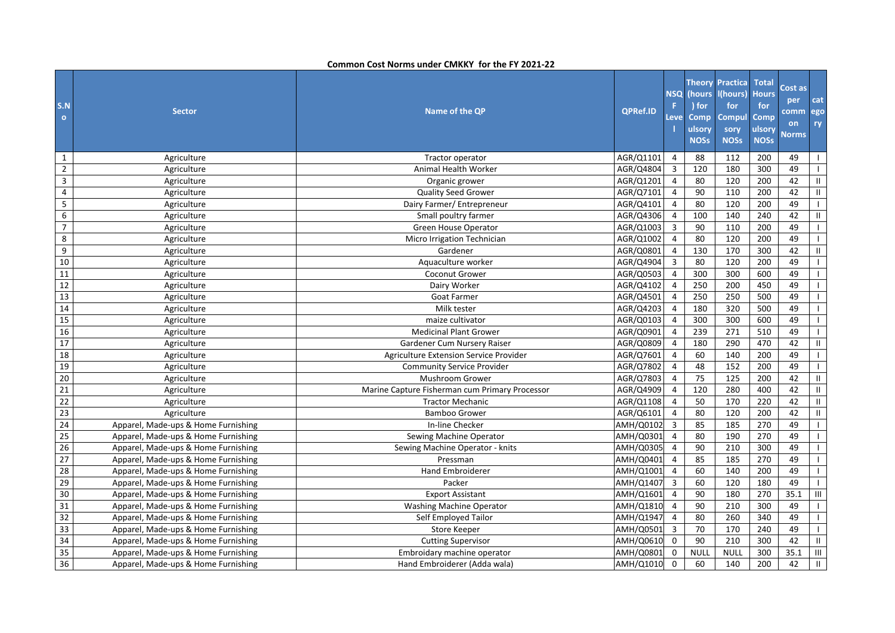| S.N<br>$\bullet$ | <b>Sector</b>                       | Name of the QP                                 | <b>QPRef.ID</b> | <b>NSQ</b><br>F.<br>Leve | (hours<br>) for<br><b>Comp</b><br>ulsory<br><b>NOSs</b> | Theory Practica<br>l(hours)<br>for<br><b>Compul</b><br>sory<br><b>NOSs</b> | <b>Total</b><br><b>Hours</b><br>for<br>Comp<br>ulsory<br><b>NOSs</b> | Cost as<br>per<br>comm<br>on<br><b>Norms</b> | cat<br>ego<br>ry |
|------------------|-------------------------------------|------------------------------------------------|-----------------|--------------------------|---------------------------------------------------------|----------------------------------------------------------------------------|----------------------------------------------------------------------|----------------------------------------------|------------------|
| $\mathbf{1}$     | Agriculture                         | Tractor operator                               | AGR/Q1101       | 4                        | 88                                                      | 112                                                                        | 200                                                                  | 49                                           |                  |
| $\overline{2}$   | Agriculture                         | Animal Health Worker                           | AGR/Q4804       | $\mathbf{3}$             | 120                                                     | 180                                                                        | 300                                                                  | 49                                           | $\mathbf{L}$     |
| 3                | Agriculture                         | Organic grower                                 | AGR/Q1201       | $\overline{4}$           | 80                                                      | 120                                                                        | 200                                                                  | 42                                           | $\mathbf{II}$    |
| 4                | Agriculture                         | <b>Quality Seed Grower</b>                     | AGR/Q7101       | 4                        | 90                                                      | 110                                                                        | 200                                                                  | 42                                           | Ш                |
| 5                | Agriculture                         | Dairy Farmer/ Entrepreneur                     | AGR/Q4101       | $\overline{4}$           | 80                                                      | 120                                                                        | 200                                                                  | 49                                           | $\mathbf{I}$     |
| 6                | Agriculture                         | Small poultry farmer                           | AGR/Q4306       | $\overline{4}$           | 100                                                     | 140                                                                        | 240                                                                  | 42                                           | Ш                |
| $\overline{7}$   | Agriculture                         | Green House Operator                           | AGR/Q1003       | 3                        | 90                                                      | 110                                                                        | 200                                                                  | 49                                           |                  |
| 8                | Agriculture                         | Micro Irrigation Technician                    | AGR/Q1002       | $\overline{4}$           | 80                                                      | 120                                                                        | 200                                                                  | 49                                           | $\mathbf{I}$     |
| 9                | Agriculture                         | Gardener                                       | AGR/Q0801       | $\overline{4}$           | 130                                                     | 170                                                                        | 300                                                                  | 42                                           | $\mathbf{H}$     |
| 10               | Agriculture                         | Aquaculture worker                             | AGR/Q4904       | $\overline{3}$           | 80                                                      | 120                                                                        | 200                                                                  | 49                                           |                  |
| 11               | Agriculture                         | Coconut Grower                                 | AGR/Q0503       | $\overline{4}$           | 300                                                     | 300                                                                        | 600                                                                  | 49                                           |                  |
| 12               | Agriculture                         | Dairy Worker                                   | AGR/Q4102       | $\overline{4}$           | 250                                                     | 200                                                                        | 450                                                                  | 49                                           |                  |
| 13               | Agriculture                         | <b>Goat Farmer</b>                             | AGR/Q4501       | $\overline{4}$           | 250                                                     | 250                                                                        | 500                                                                  | 49                                           |                  |
| 14               | Agriculture                         | Milk tester                                    | AGR/Q4203       | $\overline{4}$           | 180                                                     | 320                                                                        | 500                                                                  | 49                                           | $\mathbf{L}$     |
| 15               | Agriculture                         | maize cultivator                               | AGR/Q0103       | $\overline{4}$           | 300                                                     | 300                                                                        | 600                                                                  | 49                                           | $\mathbf{L}$     |
| 16               | Agriculture                         | <b>Medicinal Plant Grower</b>                  | AGR/Q0901       | $\overline{4}$           | 239                                                     | 271                                                                        | 510                                                                  | 49                                           | $\mathbf{L}$     |
| 17               | Agriculture                         | Gardener Cum Nursery Raiser                    | AGR/Q0809       | 4                        | 180                                                     | 290                                                                        | 470                                                                  | 42                                           | Ш                |
| 18               | Agriculture                         | Agriculture Extension Service Provider         | AGR/Q7601       | $\overline{4}$           | 60                                                      | 140                                                                        | 200                                                                  | 49                                           | $\mathbf{I}$     |
| 19               | Agriculture                         | <b>Community Service Provider</b>              | AGR/Q7802       | 4                        | 48                                                      | 152                                                                        | 200                                                                  | 49                                           | $\mathbf{I}$     |
| 20               | Agriculture                         | <b>Mushroom Grower</b>                         | AGR/Q7803       | 4                        | 75                                                      | 125                                                                        | 200                                                                  | 42                                           | $\mathbf{H}$     |
| 21               | Agriculture                         | Marine Capture Fisherman cum Primary Processor | AGR/Q4909       | $\overline{4}$           | 120                                                     | 280                                                                        | 400                                                                  | 42                                           | Ш                |
| 22               | Agriculture                         | <b>Tractor Mechanic</b>                        | AGR/Q1108       | $\overline{4}$           | 50                                                      | 170                                                                        | 220                                                                  | 42                                           | Ш.               |
| 23               | Agriculture                         | <b>Bamboo Grower</b>                           | AGR/Q6101       | $\overline{4}$           | 80                                                      | 120                                                                        | 200                                                                  | 42                                           | Ш.               |
| 24               | Apparel, Made-ups & Home Furnishing | In-line Checker                                | AMH/Q0102       | 3                        | 85                                                      | 185                                                                        | 270                                                                  | 49                                           | $\mathbf{I}$     |
| 25               | Apparel, Made-ups & Home Furnishing | Sewing Machine Operator                        | AMH/Q0301       | $\overline{4}$           | 80                                                      | 190                                                                        | 270                                                                  | 49                                           |                  |
| 26               | Apparel, Made-ups & Home Furnishing | Sewing Machine Operator - knits                | AMH/Q0305       | $\overline{4}$           | 90                                                      | 210                                                                        | 300                                                                  | 49                                           |                  |
| 27               | Apparel, Made-ups & Home Furnishing | Pressman                                       | AMH/Q0401       | 4                        | 85                                                      | 185                                                                        | 270                                                                  | 49                                           | $\mathbf{I}$     |
| 28               | Apparel, Made-ups & Home Furnishing | Hand Embroiderer                               | AMH/Q1001       | $\overline{4}$           | 60                                                      | 140                                                                        | 200                                                                  | 49                                           | $\mathbf{I}$     |
| 29               | Apparel, Made-ups & Home Furnishing | Packer                                         | AMH/Q1407       | $\overline{3}$           | 60                                                      | 120                                                                        | 180                                                                  | 49                                           | $\mathbf{I}$     |
| 30               | Apparel, Made-ups & Home Furnishing | <b>Export Assistant</b>                        | AMH/Q1601       | 4                        | 90                                                      | 180                                                                        | 270                                                                  | 35.1                                         | Ш                |
| 31               | Apparel, Made-ups & Home Furnishing | <b>Washing Machine Operator</b>                | AMH/Q1810       | 4                        | 90                                                      | 210                                                                        | 300                                                                  | 49                                           |                  |
| 32               | Apparel, Made-ups & Home Furnishing | Self Employed Tailor                           | AMH/Q1947       | $\overline{4}$           | 80                                                      | 260                                                                        | 340                                                                  | 49                                           |                  |
| 33               | Apparel, Made-ups & Home Furnishing | Store Keeper                                   | AMH/Q0501       | $\overline{\mathbf{3}}$  | 70                                                      | 170                                                                        | 240                                                                  | 49                                           | $\mathbf{I}$     |
| 34               | Apparel, Made-ups & Home Furnishing | <b>Cutting Supervisor</b>                      | AMH/Q0610       | $\mathbf 0$              | 90                                                      | 210                                                                        | 300                                                                  | 42                                           | Ш.               |
| 35               | Apparel, Made-ups & Home Furnishing | Embroidary machine operator                    | AMH/Q0801       | $\mathbf 0$              | <b>NULL</b>                                             | <b>NULL</b>                                                                | 300                                                                  | 35.1                                         | Ш                |
| 36               | Apparel, Made-ups & Home Furnishing | Hand Embroiderer (Adda wala)                   | AMH/Q1010       | $\mathbf 0$              | 60                                                      | 140                                                                        | 200                                                                  | 42                                           | $\mathbf{H}$     |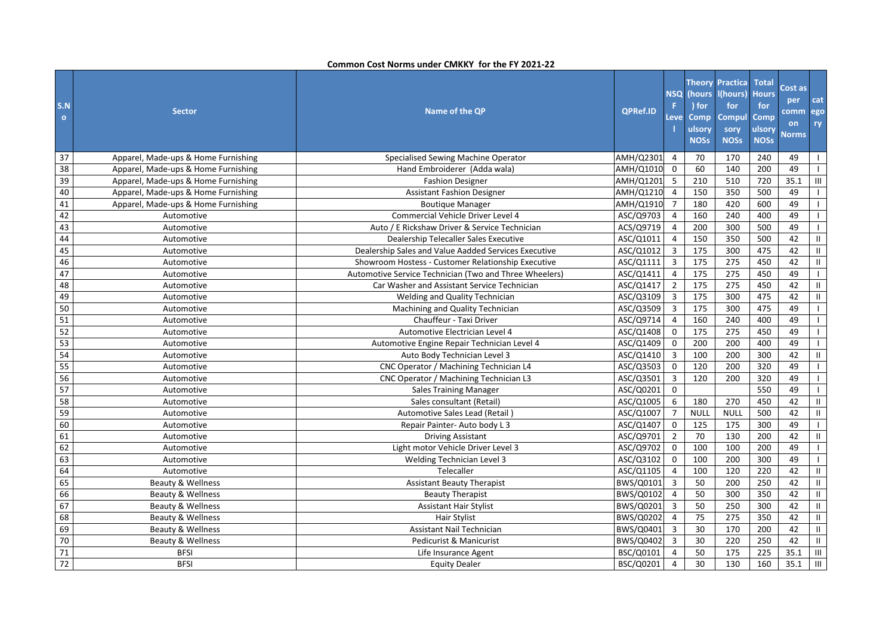| S.N<br>$\circ$ | <b>Sector</b>                       | <b>Name of the QP</b>                                  | <b>QPRef.ID</b> | <b>NSQ</b><br>F<br>Leve | (hours<br>) for<br>Comp<br>ulsory<br><b>NOSs</b> | <b>Theory Practica</b><br>l(hours)<br>for<br>Compul<br>sory<br><b>NOSs</b> | <b>Total</b><br><b>Hours</b><br>for<br>Comp<br>ulsory<br><b>NOSs</b> | Cost as<br>per<br>comm<br>on<br><b>Norms</b> | cat<br>ego<br>ry |
|----------------|-------------------------------------|--------------------------------------------------------|-----------------|-------------------------|--------------------------------------------------|----------------------------------------------------------------------------|----------------------------------------------------------------------|----------------------------------------------|------------------|
| 37             | Apparel, Made-ups & Home Furnishing | Specialised Sewing Machine Operator                    | AMH/Q2301       | $\overline{4}$          | 70                                               | 170                                                                        | 240                                                                  | 49                                           | $\mathbf{I}$     |
| 38             | Apparel, Made-ups & Home Furnishing | Hand Embroiderer (Adda wala)                           | AMH/Q1010       | $\mathbf 0$             | 60                                               | 140                                                                        | 200                                                                  | 49                                           |                  |
| 39             | Apparel, Made-ups & Home Furnishing | <b>Fashion Designer</b>                                | AMH/Q1201       | 5                       | 210                                              | 510                                                                        | 720                                                                  | 35.1                                         | III              |
| 40             | Apparel, Made-ups & Home Furnishing | <b>Assistant Fashion Designer</b>                      | AMH/Q1210       | $\overline{a}$          | 150                                              | 350                                                                        | 500                                                                  | 49                                           | $\mathbf{L}$     |
| 41             | Apparel, Made-ups & Home Furnishing | <b>Boutique Manager</b>                                | AMH/Q1910       | $\overline{7}$          | 180                                              | 420                                                                        | 600                                                                  | 49                                           | $\mathbf{L}$     |
| 42             | Automotive                          | Commercial Vehicle Driver Level 4                      | ASC/Q9703       | $\overline{4}$          | 160                                              | 240                                                                        | 400                                                                  | 49                                           | $\mathbf{L}$     |
| 43             | Automotive                          | Auto / E Rickshaw Driver & Service Technician          | ACS/Q9719       | $\overline{4}$          | 200                                              | 300                                                                        | 500                                                                  | 49                                           | $\mathbf{L}$     |
| 44             | Automotive                          | Dealership Telecaller Sales Executive                  | ASC/Q1011       | $\overline{4}$          | 150                                              | 350                                                                        | 500                                                                  | 42                                           | Ш.               |
| 45             | Automotive                          | Dealership Sales and Value Aadded Services Executive   | ASC/Q1012       | 3                       | 175                                              | 300                                                                        | 475                                                                  | 42                                           | Ш.               |
| 46             | Automotive                          | Showroom Hostess - Customer Relationship Executive     | ASC/Q1111       | $\overline{3}$          | 175                                              | 275                                                                        | 450                                                                  | 42                                           | $\rm H$          |
| 47             | Automotive                          | Automotive Service Technician (Two and Three Wheelers) | ASC/Q1411       | $\overline{4}$          | 175                                              | 275                                                                        | 450                                                                  | 49                                           | $\mathbf{I}$     |
| 48             | Automotive                          | Car Washer and Assistant Service Technician            | ASC/Q1417       | $2^{\circ}$             | 175                                              | 275                                                                        | 450                                                                  | 42                                           | $\mathbf{H}$     |
| 49             | Automotive                          | Welding and Quality Technician                         | ASC/Q3109       | 3                       | 175                                              | 300                                                                        | 475                                                                  | 42                                           | Ш.               |
| 50             | Automotive                          | Machining and Quality Technician                       | ASC/Q3509       | $\overline{3}$          | 175                                              | 300                                                                        | 475                                                                  | 49                                           | $\mathbf{I}$     |
| 51             | Automotive                          | Chauffeur - Taxi Driver                                | ASC/Q9714       | $\overline{4}$          | 160                                              | 240                                                                        | 400                                                                  | 49                                           | $\mathbf{L}$     |
| 52             | Automotive                          | Automotive Electrician Level 4                         | ASC/Q1408       | $\mathbf 0$             | 175                                              | 275                                                                        | 450                                                                  | 49                                           | $\mathbf{L}$     |
| 53             | Automotive                          | Automotive Engine Repair Technician Level 4            | ASC/Q1409       | $\mathbf 0$             | 200                                              | 200                                                                        | 400                                                                  | 49                                           | $\mathbf{I}$     |
| 54             | Automotive                          | Auto Body Technician Level 3                           | ASC/Q1410       | $\mathbf{3}$            | 100                                              | 200                                                                        | 300                                                                  | 42                                           | Ш                |
| 55             | Automotive                          | CNC Operator / Machining Technician L4                 | ASC/Q3503       | $\mathbf 0$             | 120                                              | 200                                                                        | 320                                                                  | 49                                           |                  |
| 56             | Automotive                          | CNC Operator / Machining Technician L3                 | ASC/Q3501       | $\mathbf{3}$            | 120                                              | 200                                                                        | 320                                                                  | 49                                           | $\mathbf{I}$     |
| 57             | Automotive                          | <b>Sales Training Manager</b>                          | ASC/Q0201       | $\mathbf 0$             |                                                  |                                                                            | 550                                                                  | 49                                           | $\mathbf{L}$     |
| 58             | Automotive                          | Sales consultant (Retail)                              | ASC/Q1005       | 6                       | 180                                              | 270                                                                        | 450                                                                  | 42                                           | Ш.               |
| 59             | Automotive                          | Automotive Sales Lead (Retail)                         | ASC/Q1007       | $\overline{7}$          | <b>NULL</b>                                      | <b>NULL</b>                                                                | 500                                                                  | 42                                           | Ш                |
| 60             | Automotive                          | Repair Painter- Auto body L 3                          | ASC/Q1407       | $\mathbf 0$             | 125                                              | 175                                                                        | 300                                                                  | 49                                           | $\mathbf{L}$     |
| 61             | Automotive                          | <b>Driving Assistant</b>                               | ASC/Q9701       | $\overline{2}$          | 70                                               | 130                                                                        | 200                                                                  | 42                                           | Ш.               |
| 62             | Automotive                          | Light motor Vehicle Driver Level 3                     | ASC/Q9702       | $\mathbf 0$             | 100                                              | 100                                                                        | 200                                                                  | 49                                           | $\mathbf{L}$     |
| 63             | Automotive                          | Welding Technician Level 3                             | ASC/Q3102       | $\mathbf 0$             | 100                                              | 200                                                                        | 300                                                                  | 49                                           | $\mathbf{L}$     |
| 64             | Automotive                          | Telecaller                                             | ASC/Q1105       | $\overline{4}$          | 100                                              | 120                                                                        | 220                                                                  | 42                                           | $\mathbf{H}$     |
| 65             | <b>Beauty &amp; Wellness</b>        | <b>Assistant Beauty Therapist</b>                      | BWS/Q0101       | $\overline{3}$          | 50                                               | 200                                                                        | 250                                                                  | 42                                           | Ш                |
| 66             | Beauty & Wellness                   | <b>Beauty Therapist</b>                                | BWS/Q0102       | $\overline{4}$          | 50                                               | 300                                                                        | 350                                                                  | 42                                           | Ш.               |
| 67             | Beauty & Wellness                   | <b>Assistant Hair Stylist</b>                          | BWS/Q0201       | $\overline{3}$          | 50                                               | 250                                                                        | 300                                                                  | 42                                           | Ш.               |
| 68             | Beauty & Wellness                   | <b>Hair Stylist</b>                                    | BWS/Q0202       | $\overline{4}$          | 75                                               | 275                                                                        | 350                                                                  | 42                                           | Ш.               |
| 69             | Beauty & Wellness                   | <b>Assistant Nail Technician</b>                       | BWS/Q0401       | $\overline{3}$          | 30                                               | 170                                                                        | 200                                                                  | 42                                           | Ш.               |
| 70             | <b>Beauty &amp; Wellness</b>        | Pedicurist & Manicurist                                | BWS/Q0402       | $\overline{3}$          | 30                                               | 220                                                                        | 250                                                                  | 42                                           | $\mathbf{II}$    |
| 71             | <b>BFSI</b>                         | Life Insurance Agent                                   | BSC/Q0101       | $\overline{4}$          | 50                                               | 175                                                                        | 225                                                                  | 35.1                                         | $\mathsf{III}$   |
| 72             | <b>BFSI</b>                         | <b>Equity Dealer</b>                                   | BSC/Q0201       | $\overline{4}$          | 30                                               | 130                                                                        | 160                                                                  | 35.1                                         | Ш                |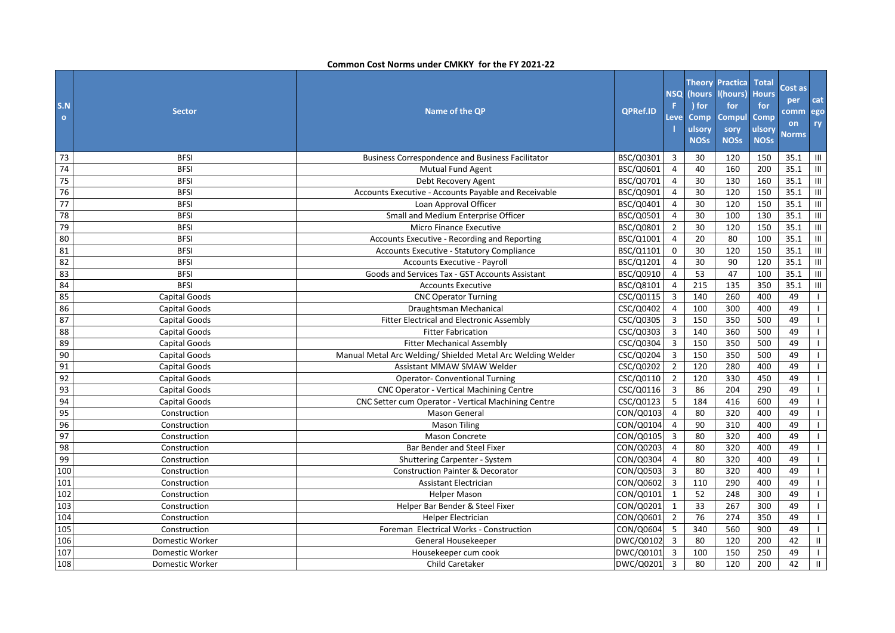| S.N<br>$\bullet$ | <b>Sector</b>   | Name of the QP                                              | <b>OPRef.ID</b> | <b>NSQ</b><br>F<br>.eve | (hours<br>) for<br><b>Comp</b><br>ulsory<br><b>NOSs</b> | <b>Theory Practica</b><br>I(hours)<br>for<br>Compul<br>sory<br><b>NOSs</b> | <b>Total</b><br><b>Hours</b><br>for<br>Comp<br>ulsory<br><b>NOSs</b> | Cost as<br>per<br>comm   ego<br>on<br><b>Norms</b> | cat<br>ry        |
|------------------|-----------------|-------------------------------------------------------------|-----------------|-------------------------|---------------------------------------------------------|----------------------------------------------------------------------------|----------------------------------------------------------------------|----------------------------------------------------|------------------|
| 73               | <b>BFSI</b>     | <b>Business Correspondence and Business Facilitator</b>     | BSC/Q0301       | 3                       | 30                                                      | 120                                                                        | 150                                                                  | 35.1                                               | $\mathbf{III}$   |
| 74               | <b>BFSI</b>     | <b>Mutual Fund Agent</b>                                    | BSC/Q0601       | $\overline{4}$          | 40                                                      | 160                                                                        | 200                                                                  | 35.1                                               | III              |
| 75               | <b>BFSI</b>     | Debt Recovery Agent                                         | BSC/Q0701       | $\overline{4}$          | 30                                                      | 130                                                                        | 160                                                                  | 35.1                                               | $\mathbf{III}^-$ |
| 76               | <b>BFSI</b>     | Accounts Executive - Accounts Payable and Receivable        | BSC/Q0901       | $\overline{4}$          | 30                                                      | 120                                                                        | 150                                                                  | 35.1                                               | $\mathbf{III}$   |
| 77               | <b>BFSI</b>     | Loan Approval Officer                                       | BSC/Q0401       | $\overline{4}$          | 30                                                      | 120                                                                        | 150                                                                  | 35.1                                               | $\mathbf{III}^-$ |
| 78               | <b>BFSI</b>     | Small and Medium Enterprise Officer                         | BSC/Q0501       | $\overline{4}$          | 30                                                      | 100                                                                        | 130                                                                  | 35.1                                               | $\mathbf{III}^-$ |
| 79               | <b>BFSI</b>     | <b>Micro Finance Executive</b>                              | BSC/Q0801       | $\overline{2}$          | 30                                                      | 120                                                                        | 150                                                                  | 35.1                                               | III              |
| 80               | <b>BFSI</b>     | Accounts Executive - Recording and Reporting                | BSC/Q1001       | $\overline{4}$          | 20                                                      | 80                                                                         | 100                                                                  | 35.1                                               | $\mathbf{III}$   |
| 81               | <b>BFSI</b>     | Accounts Executive - Statutory Compliance                   | BSC/Q1101       | $\mathbf 0$             | 30                                                      | 120                                                                        | 150                                                                  | 35.1                                               | $\mathbf{III}^-$ |
| 82               | <b>BFSI</b>     | <b>Accounts Executive - Payroll</b>                         | BSC/Q1201       | $\overline{4}$          | 30                                                      | 90                                                                         | 120                                                                  | 35.1                                               | $\mathbf{III}^-$ |
| 83               | <b>BFSI</b>     | Goods and Services Tax - GST Accounts Assistant             | BSC/Q0910       | 4                       | 53                                                      | 47                                                                         | 100                                                                  | 35.1                                               | III              |
| 84               | <b>BFSI</b>     | <b>Accounts Executive</b>                                   | BSC/Q8101       | $\overline{4}$          | 215                                                     | 135                                                                        | 350                                                                  | 35.1                                               | Ш                |
| 85               | Capital Goods   | <b>CNC Operator Turning</b>                                 | CSC/Q0115       | $\overline{3}$          | 140                                                     | 260                                                                        | 400                                                                  | 49                                                 | $\mathbf{L}$     |
| 86               | Capital Goods   | Draughtsman Mechanical                                      | CSC/Q0402       | $\overline{4}$          | 100                                                     | 300                                                                        | 400                                                                  | 49                                                 | $\mathbf{L}$     |
| 87               | Capital Goods   | Fitter Electrical and Electronic Assembly                   | CSC/Q0305       | 3                       | 150                                                     | 350                                                                        | 500                                                                  | 49                                                 | $\mathbf{L}$     |
| 88               | Capital Goods   | <b>Fitter Fabrication</b>                                   | CSC/Q0303       | $\mathbf{3}$            | 140                                                     | 360                                                                        | 500                                                                  | 49                                                 | $\mathbf{L}$     |
| 89               | Capital Goods   | <b>Fitter Mechanical Assembly</b>                           | CSC/Q0304       | $\overline{3}$          | 150                                                     | 350                                                                        | 500                                                                  | 49                                                 | $\mathbf{L}$     |
| 90               | Capital Goods   | Manual Metal Arc Welding/ Shielded Metal Arc Welding Welder | CSC/Q0204       | $\mathbf{3}$            | 150                                                     | 350                                                                        | 500                                                                  | 49                                                 | $\mathbf{L}$     |
| 91               | Capital Goods   | <b>Assistant MMAW SMAW Welder</b>                           | CSC/Q0202       | $\overline{2}$          | 120                                                     | 280                                                                        | 400                                                                  | 49                                                 | $\mathbf{L}$     |
| 92               | Capital Goods   | <b>Operator- Conventional Turning</b>                       | CSC/Q0110       | $\overline{2}$          | 120                                                     | 330                                                                        | 450                                                                  | 49                                                 | $\mathbf{I}$     |
| 93               | Capital Goods   | <b>CNC Operator - Vertical Machining Centre</b>             | CSC/Q0116       | $\overline{3}$          | 86                                                      | 204                                                                        | 290                                                                  | 49                                                 | $\mathbf{1}$     |
| 94               | Capital Goods   | CNC Setter cum Operator - Vertical Machining Centre         | CSC/Q0123       | 5                       | 184                                                     | 416                                                                        | 600                                                                  | 49                                                 | $\mathbf{L}$     |
| 95               | Construction    | Mason General                                               | CON/Q0103       | $\overline{4}$          | 80                                                      | $\overline{320}$                                                           | 400                                                                  | 49                                                 | $\mathbf{L}$     |
| 96               | Construction    | <b>Mason Tiling</b>                                         | CON/Q0104       | $\overline{4}$          | 90                                                      | 310                                                                        | 400                                                                  | 49                                                 | $\mathbf{I}$     |
| 97               | Construction    | <b>Mason Concrete</b>                                       | CON/Q0105       | $\overline{3}$          | 80                                                      | 320                                                                        | 400                                                                  | 49                                                 | $\mathbf{L}$     |
| 98               | Construction    | Bar Bender and Steel Fixer                                  | CON/Q0203       | $\overline{4}$          | 80                                                      | 320                                                                        | 400                                                                  | 49                                                 | $\mathbf{L}$     |
| 99               | Construction    | Shuttering Carpenter - System                               | CON/Q0304       | $\overline{4}$          | 80                                                      | 320                                                                        | 400                                                                  | 49                                                 | $\mathbf{L}$     |
| 100              | Construction    | <b>Construction Painter &amp; Decorator</b>                 | CON/Q0503       | 3                       | 80                                                      | 320                                                                        | 400                                                                  | 49                                                 | $\mathbf{I}$     |
| 101              | Construction    | <b>Assistant Electrician</b>                                | CON/Q0602       | $\overline{3}$          | 110                                                     | 290                                                                        | 400                                                                  | 49                                                 | $\mathbf{I}$     |
| 102              | Construction    | <b>Helper Mason</b>                                         | CON/Q0101       | $\mathbf{1}$            | 52                                                      | 248                                                                        | 300                                                                  | 49                                                 | $\mathbf{L}$     |
| 103              | Construction    | Helper Bar Bender & Steel Fixer                             | CON/Q0201       | $\mathbf{1}$            | 33                                                      | 267                                                                        | 300                                                                  | 49                                                 | $\mathbf{L}$     |
| 104              | Construction    | <b>Helper Electrician</b>                                   | CON/Q0601       | $\overline{2}$          | 76                                                      | 274                                                                        | 350                                                                  | 49                                                 | $\mathbf{L}$     |
| 105              | Construction    | Foreman Electrical Works - Construction                     | CON/Q0604       | 5 <sup>1</sup>          | 340                                                     | 560                                                                        | 900                                                                  | 49                                                 | $\mathbf{L}$     |
| 106              | Domestic Worker | General Housekeeper                                         | DWC/Q0102       | 3                       | 80                                                      | 120                                                                        | 200                                                                  | 42                                                 | $\mathbf{II}$    |
| 107              | Domestic Worker | Housekeeper cum cook                                        | DWC/Q0101       | $\overline{3}$          | 100                                                     | 150                                                                        | 250                                                                  | 49                                                 | $\mathbf{L}$     |
| 108              | Domestic Worker | Child Caretaker                                             | DWC/Q0201       | $\overline{3}$          | 80                                                      | 120                                                                        | 200                                                                  | 42                                                 | $\mathbf{II}$    |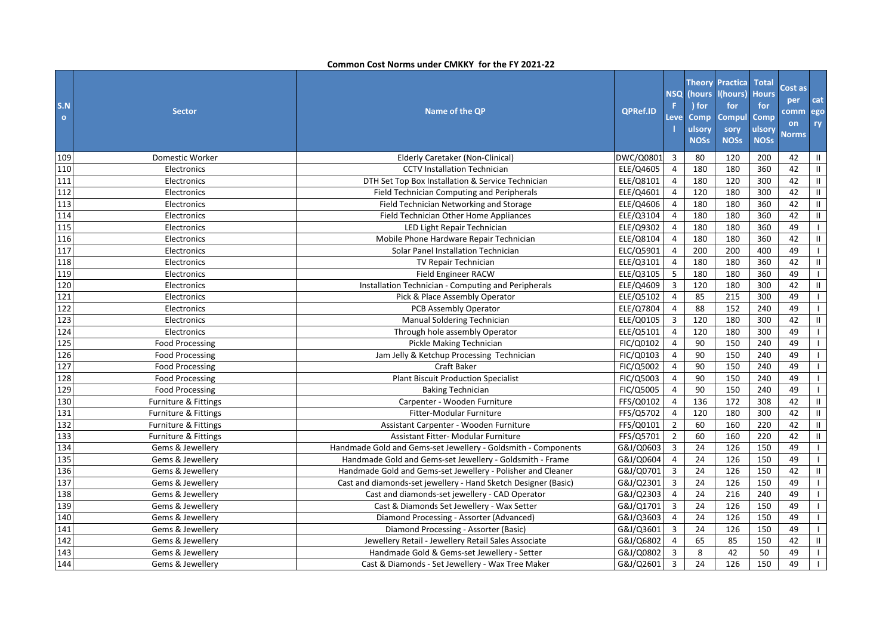| S.N<br>$\bullet$ | <b>Sector</b>                   | Name of the QP                                                 | <b>QPRef.ID</b> | <b>NSQ</b><br>F.<br>Leve | (hours)<br>) for<br>Comp<br><b>ulsory</b><br><b>NOSs</b> | <b>Theory Practica</b><br>l(hours)<br>for<br><b>Compul</b><br>sory<br><b>NOSs</b> | <b>Total</b><br><b>Hours</b><br>for<br>Comp<br>ulsory<br><b>NOSs</b> | Cost as<br>per<br>comm<br><b>on</b><br><b>Norms</b> | cat<br>ego<br>ry |
|------------------|---------------------------------|----------------------------------------------------------------|-----------------|--------------------------|----------------------------------------------------------|-----------------------------------------------------------------------------------|----------------------------------------------------------------------|-----------------------------------------------------|------------------|
| 109              | Domestic Worker                 | Elderly Caretaker (Non-Clinical)                               | DWC/Q0801       | $\overline{\mathbf{3}}$  | 80                                                       | 120                                                                               | 200                                                                  | 42                                                  | Ш                |
| 110              | Electronics                     | <b>CCTV Installation Technician</b>                            | ELE/Q4605       | $\overline{4}$           | 180                                                      | 180                                                                               | 360                                                                  | 42                                                  | Ш                |
| 111              | Electronics                     | DTH Set Top Box Installation & Service Technician              | ELE/Q8101       | $\overline{4}$           | 180                                                      | 120                                                                               | 300                                                                  | 42                                                  | Ш.               |
| 112              | Electronics                     | <b>Field Technician Computing and Peripherals</b>              | ELE/Q4601       | $\overline{4}$           | 120                                                      | 180                                                                               | 300                                                                  | 42                                                  | $\rm H$          |
| 113              | Electronics                     | Field Technician Networking and Storage                        | ELE/Q4606       | $\overline{4}$           | 180                                                      | 180                                                                               | 360                                                                  | 42                                                  | Ш.               |
| 114              | Electronics                     | Field Technician Other Home Appliances                         | ELE/Q3104       | $\overline{4}$           | 180                                                      | 180                                                                               | 360                                                                  | 42                                                  | Ш                |
| 115              | Electronics                     | LED Light Repair Technician                                    | ELE/Q9302       | $\overline{4}$           | 180                                                      | 180                                                                               | 360                                                                  | 49                                                  | $\mathbf{L}$     |
| 116              | Electronics                     | Mobile Phone Hardware Repair Technician                        | ELE/Q8104       | $\overline{4}$           | 180                                                      | 180                                                                               | 360                                                                  | 42                                                  | Ш.               |
| 117              | Electronics                     | Solar Panel Installation Technician                            | ELC/Q5901       | $\overline{4}$           | 200                                                      | 200                                                                               | 400                                                                  | 49                                                  | $\mathbf{L}$     |
| 118              | Electronics                     | <b>TV Repair Technician</b>                                    | ELE/Q3101       | $\overline{4}$           | 180                                                      | 180                                                                               | 360                                                                  | 42                                                  | Ш.               |
| 119              | Electronics                     | <b>Field Engineer RACW</b>                                     | ELE/Q3105       | 5                        | 180                                                      | 180                                                                               | 360                                                                  | 49                                                  | $\mathbf{L}$     |
| 120              | Electronics                     | Installation Technician - Computing and Peripherals            | ELE/Q4609       | $\mathbf{3}$             | 120                                                      | 180                                                                               | 300                                                                  | 42                                                  | $\mathbf{H}$     |
| 121              | Electronics                     | Pick & Place Assembly Operator                                 | ELE/Q5102       | $\overline{4}$           | 85                                                       | 215                                                                               | 300                                                                  | 49                                                  | $\mathbf{I}$     |
| 122              | Electronics                     | PCB Assembly Operator                                          | ELE/Q7804       | $\overline{4}$           | 88                                                       | 152                                                                               | 240                                                                  | 49                                                  | $\mathbf{I}$     |
| 123              | Electronics                     | Manual Soldering Technician                                    | ELE/Q0105       | 3                        | 120                                                      | 180                                                                               | 300                                                                  | 42                                                  | Ш.               |
| 124              | Electronics                     | Through hole assembly Operator                                 | ELE/Q5101       | $\overline{4}$           | 120                                                      | 180                                                                               | 300                                                                  | 49                                                  | $\mathbf{I}$     |
| 125              | <b>Food Processing</b>          | Pickle Making Technician                                       | FIC/Q0102       | $\overline{4}$           | 90                                                       | 150                                                                               | 240                                                                  | 49                                                  | $\mathbf{I}$     |
| 126              | <b>Food Processing</b>          | Jam Jelly & Ketchup Processing Technician                      | FIC/Q0103       | $\overline{4}$           | 90                                                       | 150                                                                               | 240                                                                  | 49                                                  | $\mathbf{I}$     |
| 127              | <b>Food Processing</b>          | Craft Baker                                                    | FIC/Q5002       | $\overline{4}$           | 90                                                       | 150                                                                               | 240                                                                  | 49                                                  |                  |
| 128              | <b>Food Processing</b>          | <b>Plant Biscuit Production Specialist</b>                     | FIC/Q5003       | $\overline{4}$           | 90                                                       | 150                                                                               | 240                                                                  | 49                                                  | $\mathbf{I}$     |
| 129              | <b>Food Processing</b>          | <b>Baking Technician</b>                                       | FIC/Q5005       | $\overline{4}$           | 90                                                       | 150                                                                               | 240                                                                  | 49                                                  |                  |
| 130              | Furniture & Fittings            | Carpenter - Wooden Furniture                                   | FFS/Q0102       | $\overline{4}$           | 136                                                      | 172                                                                               | 308                                                                  | 42                                                  | Ш.               |
| 131              | Furniture & Fittings            | Fitter-Modular Furniture                                       | FFS/Q5702       | $\overline{4}$           | 120                                                      | 180                                                                               | 300                                                                  | 42                                                  | Ш.               |
| 132              | Furniture & Fittings            | Assistant Carpenter - Wooden Furniture                         | FFS/Q0101       | $\overline{2}$           | 60                                                       | 160                                                                               | 220                                                                  | 42                                                  | $\mathbf{H}$     |
| 133              | <b>Furniture &amp; Fittings</b> | Assistant Fitter- Modular Furniture                            | FFS/Q5701       | $\overline{2}$           | 60                                                       | 160                                                                               | 220                                                                  | 42                                                  | $\mathbf{H}$     |
| 134              | Gems & Jewellery                | Handmade Gold and Gems-set Jewellery - Goldsmith - Components  | G&J/Q0603       | $\overline{3}$           | 24                                                       | 126                                                                               | 150                                                                  | 49                                                  | $\mathbf{L}$     |
| 135              | Gems & Jewellery                | Handmade Gold and Gems-set Jewellery - Goldsmith - Frame       | G&J/Q0604       | $\overline{4}$           | 24                                                       | 126                                                                               | 150                                                                  | 49                                                  | $\mathbf{L}$     |
| 136              | Gems & Jewellery                | Handmade Gold and Gems-set Jewellery - Polisher and Cleaner    | G&J/Q0701       | 3                        | 24                                                       | 126                                                                               | 150                                                                  | 42                                                  | $\mathbf{H}$     |
| 137              | Gems & Jewellery                | Cast and diamonds-set jewellery - Hand Sketch Designer (Basic) | G&J/Q2301       | $\overline{3}$           | 24                                                       | 126                                                                               | 150                                                                  | 49                                                  | $\mathbf{L}$     |
| 138              | Gems & Jewellery                | Cast and diamonds-set jewellery - CAD Operator                 | G&J/Q2303       | $\overline{4}$           | 24                                                       | 216                                                                               | 240                                                                  | 49                                                  | $\mathbf{L}$     |
| 139              | Gems & Jewellery                | Cast & Diamonds Set Jewellery - Wax Setter                     | G&J/Q1701       | 3                        | 24                                                       | 126                                                                               | 150                                                                  | 49                                                  | $\mathbf{I}$     |
| 140              | Gems & Jewellery                | Diamond Processing - Assorter (Advanced)                       | G&J/Q3603       | $\overline{4}$           | 24                                                       | 126                                                                               | 150                                                                  | 49                                                  | $\mathbf{I}$     |
| 141              | Gems & Jewellery                | Diamond Processing - Assorter (Basic)                          | G&J/Q3601       | $\overline{3}$           | 24                                                       | 126                                                                               | 150                                                                  | 49                                                  | $\mathbf{L}$     |
| 142              | Gems & Jewellery                | Jewellery Retail - Jewellery Retail Sales Associate            | G&J/Q6802       | $\overline{4}$           | 65                                                       | 85                                                                                | 150                                                                  | 42                                                  | Ш.               |
| 143              | Gems & Jewellery                | Handmade Gold & Gems-set Jewellery - Setter                    | G&J/Q0802       | $\overline{3}$           | 8                                                        | 42                                                                                | 50                                                                   | 49                                                  | $\mathbf{I}$     |
| 144              | Gems & Jewellery                | Cast & Diamonds - Set Jewellery - Wax Tree Maker               | G&J/Q2601       | $\overline{3}$           | 24                                                       | 126                                                                               | 150                                                                  | 49                                                  | $\mathbf{I}$     |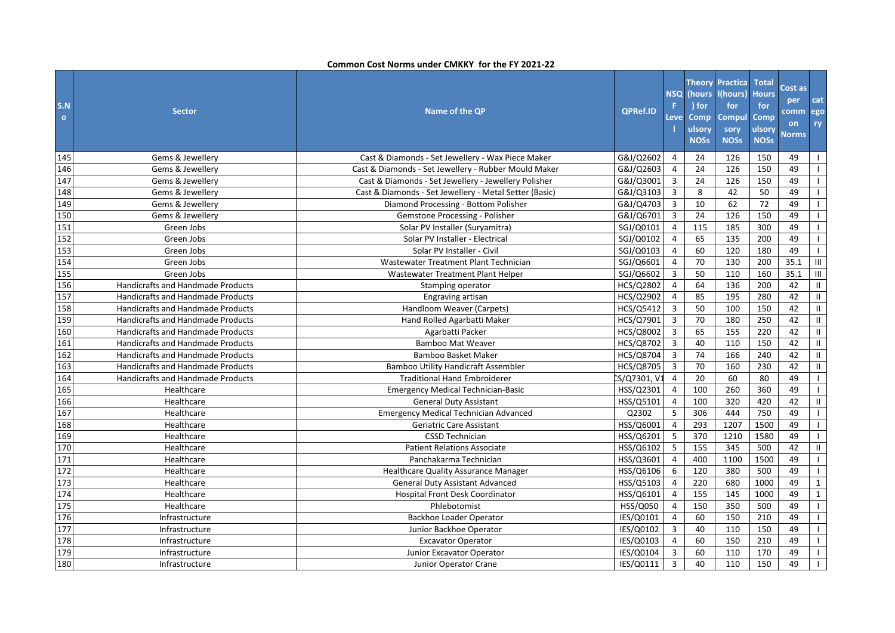| S.N<br>$\bullet$ | <b>Sector</b>                            | Name of the QP                                         | <b>QPRef.ID</b> | NSQ<br>F<br>Leve | (hours<br>) for<br>Comp<br>ulsory<br><b>NOSs</b> | <b>Theory Practica</b><br>l(hours)<br>for<br><b>Compul</b><br>sory<br><b>NOSs</b> | <b>Total</b><br><b>Hours</b><br>for<br>Comp<br>ulsory<br><b>NOSs</b> | Cost as<br>per<br>comm<br>on<br><b>Norms</b> | cat<br>ego<br>ry |
|------------------|------------------------------------------|--------------------------------------------------------|-----------------|------------------|--------------------------------------------------|-----------------------------------------------------------------------------------|----------------------------------------------------------------------|----------------------------------------------|------------------|
| 145              | Gems & Jewellery                         | Cast & Diamonds - Set Jewellery - Wax Piece Maker      | G&J/Q2602       | $\overline{4}$   | 24                                               | 126                                                                               | 150                                                                  | 49                                           | $\mathbf{I}$     |
| 146              | Gems & Jewellery                         | Cast & Diamonds - Set Jewellery - Rubber Mould Maker   | G&J/Q2603       | $\overline{4}$   | 24                                               | 126                                                                               | 150                                                                  | 49                                           | $\mathbf{L}$     |
| 147              | Gems & Jewellery                         | Cast & Diamonds - Set Jewellery - Jewellery Polisher   | G&J/Q3001       | $\overline{3}$   | 24                                               | 126                                                                               | 150                                                                  | 49                                           | $\mathbf{L}$     |
| 148              | Gems & Jewellery                         | Cast & Diamonds - Set Jewellery - Metal Setter (Basic) | G&J/Q3103       | 3                | 8                                                | 42                                                                                | 50                                                                   | 49                                           | $\mathbf{L}$     |
| 149              | Gems & Jewellery                         | Diamond Processing - Bottom Polisher                   | G&J/Q4703       | $\mathbf{3}$     | 10                                               | 62                                                                                | 72                                                                   | 49                                           | $\mathbf{I}$     |
| 150              | Gems & Jewellery                         | Gemstone Processing - Polisher                         | G&J/Q6701       | $\mathbf{3}$     | 24                                               | 126                                                                               | 150                                                                  | 49                                           | $\mathbf{L}$     |
| 151              | Green Jobs                               | Solar PV Installer (Suryamitra)                        | SGJ/Q0101       | $\overline{4}$   | 115                                              | 185                                                                               | 300                                                                  | 49                                           | $\mathbf{L}$     |
| 152              | Green Jobs                               | Solar PV Installer - Electrical                        | SGJ/Q0102       | $\overline{4}$   | 65                                               | 135                                                                               | 200                                                                  | 49                                           | $\mathbf{I}$     |
| 153              | Green Jobs                               | Solar PV Installer - Civil                             | SGJ/Q0103       | $\overline{4}$   | 60                                               | 120                                                                               | 180                                                                  | 49                                           | $\mathbf{I}$     |
| 154              | Green Jobs                               | Wastewater Treatment Plant Technician                  | SGJ/Q6601       | $\overline{4}$   | 70                                               | 130                                                                               | 200                                                                  | 35.1                                         | $\mathbf{III}^-$ |
| 155              | Green Jobs                               | Wastewater Treatment Plant Helper                      | SGJ/Q6602       | $\overline{3}$   | 50                                               | 110                                                                               | 160                                                                  | 35.1                                         | $\mathsf{III}^-$ |
| 156              | <b>Handicrafts and Handmade Products</b> | Stamping operator                                      | HCS/Q2802       | $\overline{4}$   | 64                                               | 136                                                                               | 200                                                                  | 42                                           | Ш                |
| 157              | <b>Handicrafts and Handmade Products</b> | Engraving artisan                                      | HCS/Q2902       | $\overline{4}$   | 85                                               | 195                                                                               | 280                                                                  | 42                                           | $\mathbf{H}$     |
| 158              | <b>Handicrafts and Handmade Products</b> | Handloom Weaver (Carpets)                              | HCS/Q5412       | $\overline{3}$   | 50                                               | 100                                                                               | 150                                                                  | 42                                           | Ш                |
| 159              | <b>Handicrafts and Handmade Products</b> | Hand Rolled Agarbatti Maker                            | HCS/Q7901       | $\overline{3}$   | $\overline{70}$                                  | 180                                                                               | 250                                                                  | 42                                           | Ш.               |
| 160              | <b>Handicrafts and Handmade Products</b> | Agarbatti Packer                                       | HCS/Q8002       | 3                | 65                                               | 155                                                                               | 220                                                                  | 42                                           | Ш                |
| 161              | <b>Handicrafts and Handmade Products</b> | <b>Bamboo Mat Weaver</b>                               | HCS/Q8702       | $\overline{3}$   | 40                                               | 110                                                                               | 150                                                                  | 42                                           | $\mathbf{II}$    |
| 162              | <b>Handicrafts and Handmade Products</b> | Bamboo Basket Maker                                    | HCS/Q8704       | $\overline{3}$   | 74                                               | 166                                                                               | 240                                                                  | 42                                           | $\mathbf{H}$     |
| 163              | <b>Handicrafts and Handmade Products</b> | <b>Bamboo Utility Handicraft Assembler</b>             | HCS/Q8705       | $\overline{3}$   | $70\,$                                           | 160                                                                               | 230                                                                  | 42                                           | Ш.               |
| 164              | <b>Handicrafts and Handmade Products</b> | <b>Traditional Hand Embroiderer</b>                    | CS/Q7301, V1    | $\overline{4}$   | 20                                               | 60                                                                                | 80                                                                   | 49                                           | $\mathbf{I}$     |
| 165              | Healthcare                               | <b>Emergency Medical Technician-Basic</b>              | HSS/Q2301       | 4                | 100                                              | 260                                                                               | 360                                                                  | 49                                           |                  |
| 166              | Healthcare                               | <b>General Duty Assistant</b>                          | HSS/Q5101       | $\overline{4}$   | 100                                              | 320                                                                               | 420                                                                  | 42                                           | Ш                |
| 167              | Healthcare                               | <b>Emergency Medical Technician Advanced</b>           | Q2302           | 5                | 306                                              | 444                                                                               | 750                                                                  | 49                                           | $\mathbf{L}$     |
| 168              | Healthcare                               | Geriatric Care Assistant                               | HSS/Q6001       | $\overline{4}$   | 293                                              | 1207                                                                              | 1500                                                                 | 49                                           | $\mathbf{L}$     |
| 169              | Healthcare                               | <b>CSSD Technician</b>                                 | HSS/Q6201       | 5                | 370                                              | 1210                                                                              | 1580                                                                 | 49                                           | $\mathbf{L}$     |
| 170              | Healthcare                               | <b>Patient Relations Associate</b>                     | HSS/Q6102       | 5                | 155                                              | 345                                                                               | 500                                                                  | 42                                           | Ш.               |
| 171              | Healthcare                               | Panchakarma Technician                                 | HSS/Q3601       | $\overline{4}$   | 400                                              | 1100                                                                              | 1500                                                                 | 49                                           | $\mathbf{L}$     |
| 172              | Healthcare                               | <b>Healthcare Quality Assurance Manager</b>            | HSS/Q6106       | $6\phantom{1}$   | 120                                              | 380                                                                               | 500                                                                  | 49                                           | $\mathbf{I}$     |
| 173              | Healthcare                               | <b>General Duty Assistant Advanced</b>                 | HSS/Q5103       | $\overline{4}$   | 220                                              | 680                                                                               | 1000                                                                 | 49                                           | $\mathbf{1}$     |
| 174              | Healthcare                               | <b>Hospital Front Desk Coordinator</b>                 | HSS/Q6101       | $\overline{4}$   | 155                                              | 145                                                                               | 1000                                                                 | 49                                           | $\mathbf{1}$     |
| 175              | Healthcare                               | Phlebotomist                                           | HSS/Q050        | 4                | 150                                              | 350                                                                               | 500                                                                  | 49                                           | $\mathbf{L}$     |
| 176              | Infrastructure                           | <b>Backhoe Loader Operator</b>                         | IES/Q0101       | $\overline{4}$   | 60                                               | 150                                                                               | 210                                                                  | 49                                           | $\mathbf{L}$     |
| 177              | Infrastructure                           | Junior Backhoe Operator                                | IES/Q0102       | $\mathbf{3}$     | 40                                               | 110                                                                               | 150                                                                  | 49                                           | $\mathbf{L}$     |
| 178              | Infrastructure                           | <b>Excavator Operator</b>                              | IES/Q0103       | $\overline{4}$   | 60                                               | 150                                                                               | 210                                                                  | 49                                           | $\mathbf{L}$     |
| 179              | Infrastructure                           | Junior Excavator Operator                              | IES/Q0104       | $\overline{3}$   | 60                                               | 110                                                                               | 170                                                                  | 49                                           | $\mathbf{I}$     |
| 180              | Infrastructure                           | Junior Operator Crane                                  | IES/Q0111       | $\overline{3}$   | 40                                               | 110                                                                               | 150                                                                  | 49                                           | $\mathbf{I}$     |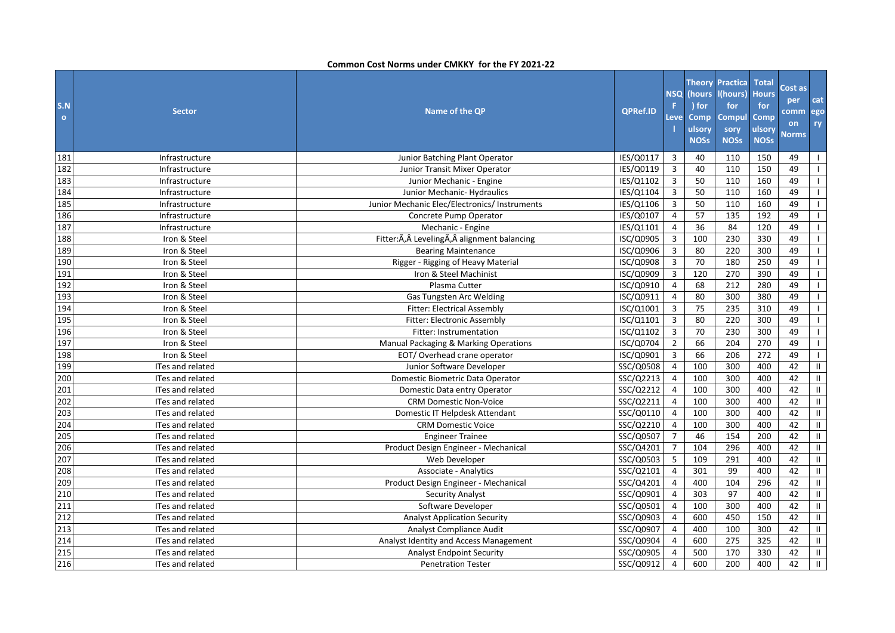| S.N<br>$\circ$ | <b>Sector</b>           | Name of the QP                                 | QPRef.ID  | <b>NSQ</b><br>F<br>Leve | (hours<br>) for<br><b>Comp</b><br>ulsory<br><b>NOSs</b> | <b>Theory Practica</b><br>l(hours)<br>for<br><b>Compul</b><br>sory<br><b>NOSs</b> | <b>Total</b><br><b>Hours</b><br>for<br><b>Comp</b><br>ulsory<br><b>NOSs</b> | Cost as<br>per<br>comm<br>on<br><b>Norms</b> | cat<br>ego<br>ry           |
|----------------|-------------------------|------------------------------------------------|-----------|-------------------------|---------------------------------------------------------|-----------------------------------------------------------------------------------|-----------------------------------------------------------------------------|----------------------------------------------|----------------------------|
| 181            | Infrastructure          | Junior Batching Plant Operator                 | IES/Q0117 | 3                       | 40                                                      | 110                                                                               | 150                                                                         | 49                                           | $\mathbf{I}$               |
| 182            | Infrastructure          | Junior Transit Mixer Operator                  | IES/Q0119 | $\mathbf{3}$            | 40                                                      | 110                                                                               | 150                                                                         | 49                                           | $\perp$                    |
| 183            | Infrastructure          | Junior Mechanic - Engine                       | IES/Q1102 | $\mathbf{3}$            | 50                                                      | 110                                                                               | 160                                                                         | 49                                           | $\mathbf{I}$               |
| 184            | Infrastructure          | Junior Mechanic- Hydraulics                    | IES/Q1104 | $\mathbf{3}$            | 50                                                      | 110                                                                               | 160                                                                         | 49                                           |                            |
| 185            | Infrastructure          | Junior Mechanic Elec/Electronics/ Instruments  | IES/Q1106 | 3                       | 50                                                      | 110                                                                               | 160                                                                         | 49                                           | $\mathbf{L}$               |
| 186            | Infrastructure          | Concrete Pump Operator                         | IES/Q0107 | 4                       | 57                                                      | 135                                                                               | 192                                                                         | 49                                           | $\mathbf{L}$               |
| 187            | Infrastructure          | Mechanic - Engine                              | IES/Q1101 | $\overline{4}$          | 36                                                      | 84                                                                                | 120                                                                         | 49                                           | $\mathbf{L}$               |
| 188            | Iron & Steel            | Fitter: Ã, Â Leveling Ã, Â alignment balancing | ISC/Q0905 | 3                       | 100                                                     | 230                                                                               | 330                                                                         | 49                                           | $\mathbf{L}$               |
| 189            | Iron & Steel            | <b>Bearing Maintenance</b>                     | ISC/Q0906 | 3                       | 80                                                      | 220                                                                               | 300                                                                         | 49                                           | $\mathbf{L}$               |
| 190            | Iron & Steel            | Rigger - Rigging of Heavy Material             | ISC/Q0908 | $\mathbf{3}$            | 70                                                      | 180                                                                               | 250                                                                         | 49                                           | $\mathbf{L}$               |
| 191            | Iron & Steel            | Iron & Steel Machinist                         | ISC/Q0909 | $\mathbf{3}$            | 120                                                     | 270                                                                               | 390                                                                         | 49                                           | $\mathbf{L}$               |
| 192            | Iron & Steel            | Plasma Cutter                                  | ISC/Q0910 | $\overline{4}$          | 68                                                      | 212                                                                               | 280                                                                         | 49                                           | $\mathbf{I}$               |
| 193            | Iron & Steel            | Gas Tungsten Arc Welding                       | ISC/Q0911 | $\overline{4}$          | 80                                                      | 300                                                                               | 380                                                                         | 49                                           | $\mathbf{I}$               |
| 194            | Iron & Steel            | <b>Fitter: Electrical Assembly</b>             | ISC/Q1001 | 3                       | 75                                                      | 235                                                                               | 310                                                                         | 49                                           | $\mathbf{L}$               |
| 195            | Iron & Steel            | Fitter: Electronic Assembly                    | ISC/Q1101 | 3                       | 80                                                      | 220                                                                               | 300                                                                         | 49                                           | $\mathbf{I}$               |
| 196            | Iron & Steel            | Fitter: Instrumentation                        | ISC/Q1102 | $\mathbf{3}$            | 70                                                      | 230                                                                               | 300                                                                         | 49                                           | $\mathbf{I}$               |
| 197            | Iron & Steel            | Manual Packaging & Marking Operations          | ISC/Q0704 | $\overline{2}$          | 66                                                      | 204                                                                               | 270                                                                         | 49                                           | $\mathbf{I}$               |
| 198            | Iron & Steel            | EOT/Overhead crane operator                    | ISC/Q0901 | $\mathbf{3}$            | 66                                                      | 206                                                                               | 272                                                                         | 49                                           | $\mathbf{I}$               |
| 199            | ITes and related        | Junior Software Developer                      | SSC/Q0508 | $\overline{4}$          | 100                                                     | 300                                                                               | 400                                                                         | 42                                           | $\ensuremath{\mathsf{II}}$ |
| 200            | ITes and related        | Domestic Biometric Data Operator               | SSC/Q2213 | $\overline{4}$          | 100                                                     | 300                                                                               | 400                                                                         | 42                                           | $\sf II$                   |
| 201            | ITes and related        | Domestic Data entry Operator                   | SSC/Q2212 | $\overline{4}$          | 100                                                     | 300                                                                               | 400                                                                         | 42                                           | $\ensuremath{\mathsf{II}}$ |
| 202            | <b>ITes and related</b> | <b>CRM Domestic Non-Voice</b>                  | SSC/Q2211 | $\overline{4}$          | 100                                                     | 300                                                                               | 400                                                                         | 42                                           | Ш                          |
| 203            | ITes and related        | Domestic IT Helpdesk Attendant                 | SSC/Q0110 | 4                       | 100                                                     | 300                                                                               | 400                                                                         | 42                                           | $\rm{II}$                  |
| 204            | ITes and related        | <b>CRM Domestic Voice</b>                      | SSC/Q2210 | $\overline{4}$          | 100                                                     | 300                                                                               | 400                                                                         | 42                                           | $\mathbf{H}$               |
| 205            | <b>ITes and related</b> | <b>Engineer Trainee</b>                        | SSC/Q0507 | $\overline{7}$          | 46                                                      | 154                                                                               | 200                                                                         | 42                                           | $\mathbf{H}$               |
| 206            | ITes and related        | Product Design Engineer - Mechanical           | SSC/Q4201 | $\overline{7}$          | 104                                                     | 296                                                                               | 400                                                                         | 42                                           | $\mathbf{II}$              |
| 207            | ITes and related        | Web Developer                                  | SSC/Q0503 | 5                       | 109                                                     | 291                                                                               | 400                                                                         | 42                                           | $\mathbf{H}$               |
| 208            | ITes and related        | <b>Associate - Analytics</b>                   | SSC/Q2101 | 4                       | 301                                                     | 99                                                                                | 400                                                                         | 42                                           | $\mathbf{H}$               |
| 209            | ITes and related        | Product Design Engineer - Mechanical           | SSC/Q4201 | 4                       | 400                                                     | 104                                                                               | 296                                                                         | 42                                           | $\rm{II}$                  |
| 210            |                         |                                                | SSC/Q0901 | 4                       | 303                                                     | $\overline{97}$                                                                   | 400                                                                         | 42                                           | $\mathbf{H}$               |
| 211            | ITes and related        | <b>Security Analyst</b>                        |           | $\overline{4}$          | 100                                                     | 300                                                                               | 400                                                                         | 42                                           |                            |
|                | <b>ITes and related</b> | Software Developer                             | SSC/Q0501 |                         |                                                         |                                                                                   |                                                                             |                                              | $\mathbf{II}$              |
| 212            | ITes and related        | <b>Analyst Application Security</b>            | SSC/Q0903 | 4                       | 600                                                     | 450                                                                               | 150                                                                         | 42                                           | $\mathbf{H}$               |
| 213            | ITes and related        | Analyst Compliance Audit                       | SSC/Q0907 | $\overline{4}$          | 400                                                     | 100                                                                               | 300                                                                         | 42                                           | $\mathbf{II}$              |
| 214            | ITes and related        | Analyst Identity and Access Management         | SSC/Q0904 | $\overline{4}$          | 600                                                     | 275                                                                               | 325                                                                         | 42                                           | $\mathbf{II}$              |
| 215            | ITes and related        | <b>Analyst Endpoint Security</b>               | SSC/Q0905 | $\overline{4}$          | 500                                                     | 170                                                                               | 330                                                                         | 42                                           | $\mathbf{H}$               |
| 216            | ITes and related        | <b>Penetration Tester</b>                      | SSC/Q0912 | 4                       | 600                                                     | 200                                                                               | 400                                                                         | 42                                           | $\mathbf{II}$              |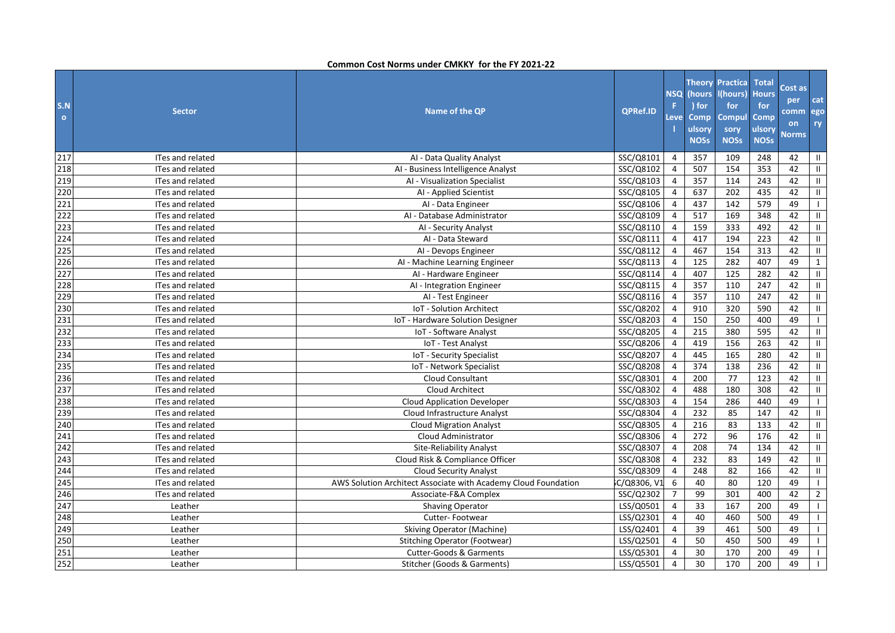| S.N<br>$\bullet$ | <b>Sector</b>           | Name of the QP                                                 | <b>QPRef.ID</b> | <b>NSQ</b><br>F<br><b>Leve</b> | (hours<br>) for<br><b>Comp</b><br>ulsory<br><b>NOSs</b> | <b>Theory Practica</b><br>I(hours)<br>for<br><b>Compul</b><br>sory<br><b>NOSs</b> | <b>Total</b><br><b>Hours</b><br>for<br>Comp<br>ulsory<br><b>NOSs</b> | Cost as<br>per<br><b>comm</b><br>on<br><b>Norms</b> | cat<br>ego<br>ry           |
|------------------|-------------------------|----------------------------------------------------------------|-----------------|--------------------------------|---------------------------------------------------------|-----------------------------------------------------------------------------------|----------------------------------------------------------------------|-----------------------------------------------------|----------------------------|
| 217              | ITes and related        | AI - Data Quality Analyst                                      | SSC/Q8101       | 4                              | 357                                                     | 109                                                                               | 248                                                                  | 42                                                  | $\mathbf{II}$              |
| 218              | ITes and related        | AI - Business Intelligence Analyst                             | SSC/Q8102       | $\overline{4}$                 | 507                                                     | 154                                                                               | 353                                                                  | 42                                                  | $\mathbf{II}$              |
| 219              | ITes and related        | AI - Visualization Specialist                                  | SSC/Q8103       | $\overline{4}$                 | 357                                                     | 114                                                                               | 243                                                                  | 42                                                  | $\mathbf{II}$              |
| 220              | ITes and related        | AI - Applied Scientist                                         | SSC/Q8105       | $\overline{4}$                 | 637                                                     | 202                                                                               | 435                                                                  | 42                                                  | $\mathbf{H}^-$             |
| 221              | ITes and related        | Al - Data Engineer                                             | SSC/Q8106       | $\overline{4}$                 | 437                                                     | 142                                                                               | 579                                                                  | 49                                                  | $\mathbf{L}$               |
| 222              | ITes and related        | Al - Database Administrator                                    | SSC/Q8109       | $\overline{4}$                 | 517                                                     | 169                                                                               | 348                                                                  | 42                                                  | $\mathbf{H}^-$             |
| 223              | ITes and related        | AI - Security Analyst                                          | SSC/Q8110       | $\overline{4}$                 | 159                                                     | 333                                                                               | 492                                                                  | 42                                                  | $\mathbf{II}$              |
| 224              | ITes and related        | AI - Data Steward                                              | SSC/Q8111       | $\overline{4}$                 | 417                                                     | 194                                                                               | 223                                                                  | 42                                                  | $\mathbf{II}$              |
| 225              | ITes and related        | Al - Devops Engineer                                           | SSC/Q8112       | 4                              | 467                                                     | 154                                                                               | 313                                                                  | 42                                                  | $\mathbf{H}^-$             |
| 226              | ITes and related        | AI - Machine Learning Engineer                                 | SSC/Q8113       | $\overline{4}$                 | 125                                                     | 282                                                                               | 407                                                                  | 49                                                  | $\mathbf{1}$               |
| 227              | ITes and related        | AI - Hardware Engineer                                         | SSC/Q8114       | $\overline{4}$                 | 407                                                     | 125                                                                               | 282                                                                  | 42                                                  | $\mathbf H^-$              |
| 228              | ITes and related        | Al - Integration Engineer                                      | SSC/Q8115       | $\overline{4}$                 | 357                                                     | 110                                                                               | 247                                                                  | 42                                                  | $\mathbf{II}$              |
| 229              | ITes and related        | AI - Test Engineer                                             | SSC/Q8116       | $\overline{4}$                 | 357                                                     | 110                                                                               | 247                                                                  | 42                                                  | $\mathbf{H}$               |
| 230              | ITes and related        | IoT - Solution Architect                                       | SSC/Q8202       | $\overline{4}$                 | 910                                                     | 320                                                                               | 590                                                                  | 42                                                  | $\mathbf{II}$              |
| 231              | ITes and related        | IoT - Hardware Solution Designer                               | SSC/Q8203       | $\overline{4}$                 | 150                                                     | 250                                                                               | 400                                                                  | 49                                                  | $\mathbf{I}$               |
| 232              | ITes and related        | IoT - Software Analyst                                         | SSC/Q8205       | $\overline{4}$                 | $\overline{215}$                                        | 380                                                                               | 595                                                                  | 42                                                  | $\ensuremath{\mathsf{II}}$ |
| 233              | <b>ITes and related</b> | IoT - Test Analyst                                             | SSC/Q8206       | $\overline{4}$                 | 419                                                     | 156                                                                               | 263                                                                  | 42                                                  | $\mathbf{II}$              |
| 234              | ITes and related        | IoT - Security Specialist                                      | SSC/Q8207       | $\overline{4}$                 | 445                                                     | 165                                                                               | 280                                                                  | 42                                                  | $\mathbf{II}$              |
| 235              | ITes and related        | IoT - Network Specialist                                       | SSC/Q8208       | $\overline{4}$                 | 374                                                     | 138                                                                               | 236                                                                  | 42                                                  | $\mathbf{II}$              |
| 236              | <b>ITes and related</b> | <b>Cloud Consultant</b>                                        | SSC/Q8301       | $\overline{4}$                 | 200                                                     | 77                                                                                | 123                                                                  | 42                                                  | $\mathbf{II}$              |
| 237              | ITes and related        | Cloud Architect                                                | SSC/Q8302       | $\overline{4}$                 | 488                                                     | 180                                                                               | 308                                                                  | 42                                                  | $\mathbf{H}^-$             |
| 238              | ITes and related        | <b>Cloud Application Developer</b>                             | SSC/Q8303       | $\overline{4}$                 | 154                                                     | 286                                                                               | 440                                                                  | 49                                                  | $\mathbf{L}$               |
| 239              | ITes and related        | Cloud Infrastructure Analyst                                   | SSC/Q8304       | $\overline{4}$                 | 232                                                     | 85                                                                                | 147                                                                  | 42                                                  | $\mathbf{II}$              |
| 240              | ITes and related        | <b>Cloud Migration Analyst</b>                                 | SSC/Q8305       | $\overline{4}$                 | 216                                                     | 83                                                                                | 133                                                                  | 42                                                  | $\mathbf{II}$              |
| 241              | ITes and related        | Cloud Administrator                                            | SSC/Q8306       | $\overline{4}$                 | 272                                                     | 96                                                                                | 176                                                                  | 42                                                  | $\mathbf{II}$              |
| 242              | ITes and related        | Site-Reliability Analyst                                       | SSC/Q8307       | $\overline{4}$                 | 208                                                     | 74                                                                                | 134                                                                  | 42                                                  | $\ensuremath{\mathsf{II}}$ |
| 243              | ITes and related        | Cloud Risk & Compliance Officer                                | SSC/Q8308       | $\overline{4}$                 | 232                                                     | 83                                                                                | 149                                                                  | 42                                                  | $\mathbf{II}$              |
| 244              | ITes and related        | <b>Cloud Security Analyst</b>                                  | SSC/Q8309       | $\overline{4}$                 | 248                                                     | 82                                                                                | 166                                                                  | 42                                                  | $\mathbf{II}$              |
| 245              | ITes and related        | AWS Solution Architect Associate with Academy Cloud Foundation | C/Q8306, V1     | 6                              | 40                                                      | 80                                                                                | 120                                                                  | 49                                                  | $\mathbf{L}$               |
| 246              | ITes and related        | Associate-F&A Complex                                          | SSC/Q2302       | $\overline{7}$                 | 99                                                      | 301                                                                               | 400                                                                  | 42                                                  | $\overline{2}$             |
| 247              | Leather                 | <b>Shaving Operator</b>                                        | LSS/Q0501       | $\overline{a}$                 | 33                                                      | 167                                                                               | 200                                                                  | 49                                                  | $\mathbf{L}$               |
| 248              | Leather                 | Cutter-Footwear                                                | LSS/Q2301       | $\overline{4}$                 | 40                                                      | 460                                                                               | 500                                                                  | 49                                                  | $\mathbf{1}$               |
| 249              | Leather                 | <b>Skiving Operator (Machine)</b>                              | LSS/Q2401       | $\overline{4}$                 | 39                                                      | 461                                                                               | 500                                                                  | 49                                                  | $\mathbf{L}$               |
| 250              | Leather                 | <b>Stitching Operator (Footwear)</b>                           | LSS/Q2501       | $\overline{4}$                 | 50                                                      | 450                                                                               | 500                                                                  | 49                                                  | $\mathbf{L}$               |
| 251              | Leather                 | Cutter-Goods & Garments                                        | LSS/Q5301       | $\overline{4}$                 | 30                                                      | 170                                                                               | 200                                                                  | 49                                                  | $\mathbf{L}$               |
| 252              | Leather                 | Stitcher (Goods & Garments)                                    | LSS/Q5501       | 4                              | 30                                                      | 170                                                                               | 200                                                                  | 49                                                  | $\mathbf{I}$               |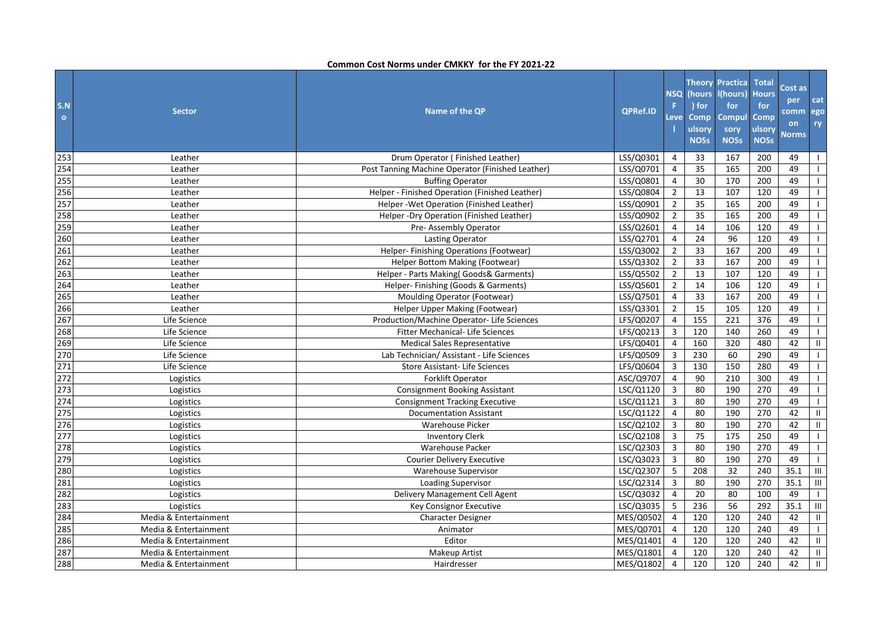| S.N<br>$\mathbf{o}$ | <b>Sector</b>         | Name of the QP                                   | <b>QPRef.ID</b> | <b>NSQ</b><br>F<br>Leve | (hours)<br>) for<br><b>Comp</b><br>ulsory<br><b>NOSs</b> | <b>Theory Practica</b><br>(hours)<br>for<br><b>Compul</b><br>sory<br><b>NOSs</b> | <b>Total</b><br><b>Hours</b><br>for<br>Comp<br>ulsory<br><b>NOSs</b> | Cost as<br>per<br>comm<br>on<br><b>Norms</b> | cat<br>ego<br>ry |
|---------------------|-----------------------|--------------------------------------------------|-----------------|-------------------------|----------------------------------------------------------|----------------------------------------------------------------------------------|----------------------------------------------------------------------|----------------------------------------------|------------------|
| 253                 | Leather               | Drum Operator (Finished Leather)                 | LSS/Q0301       | 4                       | 33                                                       | 167                                                                              | 200                                                                  | 49                                           | $\mathbf{I}$     |
| 254                 | Leather               | Post Tanning Machine Operator (Finished Leather) | LSS/Q0701       | $\overline{4}$          | 35                                                       | 165                                                                              | 200                                                                  | 49                                           | $\mathbf{L}$     |
| 255                 | Leather               | <b>Buffing Operator</b>                          | LSS/Q0801       | $\overline{4}$          | 30                                                       | 170                                                                              | 200                                                                  | 49                                           | $\mathbf{L}$     |
| 256                 | Leather               | Helper - Finished Operation (Finished Leather)   | LSS/Q0804       | $\overline{2}$          | 13                                                       | 107                                                                              | 120                                                                  | 49                                           | $\mathbf{I}$     |
| 257                 | Leather               | Helper - Wet Operation (Finished Leather)        | LSS/Q0901       | $\overline{2}$          | 35                                                       | 165                                                                              | 200                                                                  | 49                                           |                  |
| 258                 | Leather               | Helper-Dry Operation (Finished Leather)          | LSS/Q0902       | $\overline{2}$          | 35                                                       | 165                                                                              | 200                                                                  | 49                                           | $\mathbf{I}$     |
| 259                 | Leather               | Pre- Assembly Operator                           | LSS/Q2601       | $\overline{4}$          | 14                                                       | 106                                                                              | 120                                                                  | 49                                           |                  |
| 260                 | Leather               | <b>Lasting Operator</b>                          | LSS/Q2701       | $\overline{4}$          | 24                                                       | 96                                                                               | 120                                                                  | 49                                           | $\mathbf{I}$     |
| 261                 | Leather               | Helper-Finishing Operations (Footwear)           | LSS/Q3002       | $\overline{2}$          | 33                                                       | 167                                                                              | 200                                                                  | 49                                           | $\mathbf{I}$     |
| 262                 | Leather               | Helper Bottom Making (Footwear)                  | LSS/Q3302       | $\overline{2}$          | 33                                                       | 167                                                                              | 200                                                                  | 49                                           | $\mathbf{I}$     |
| 263                 | Leather               | Helper - Parts Making(Goods& Garments)           | LSS/Q5502       | $\overline{2}$          | 13                                                       | 107                                                                              | 120                                                                  | 49                                           |                  |
| 264                 | Leather               | Helper- Finishing (Goods & Garments)             | LSS/Q5601       | 2                       | 14                                                       | 106                                                                              | 120                                                                  | 49                                           | $\mathbf{I}$     |
| 265                 | Leather               | Moulding Operator (Footwear)                     | LSS/Q7501       | $\overline{4}$          | 33                                                       | 167                                                                              | 200                                                                  | 49                                           | $\mathbf{L}$     |
| 266                 | Leather               | Helper Upper Making (Footwear)                   | LSS/Q3301       | $\overline{2}$          | 15                                                       | 105                                                                              | 120                                                                  | 49                                           | $\mathbf{L}$     |
| 267                 | Life Science          | Production/Machine Operator- Life Sciences       | LFS/Q0207       | 4                       | 155                                                      | 221                                                                              | 376                                                                  | 49                                           | $\mathbf{L}$     |
| 268                 | Life Science          | Fitter Mechanical- Life Sciences                 | LFS/Q0213       | 3                       | 120                                                      | 140                                                                              | 260                                                                  | 49                                           | $\mathbf{I}$     |
| 269                 | Life Science          | <b>Medical Sales Representative</b>              | LFS/Q0401       | $\overline{4}$          | 160                                                      | 320                                                                              | 480                                                                  | 42                                           | $\mathbf{H}$     |
| 270                 | Life Science          | Lab Technician/ Assistant - Life Sciences        | LFS/Q0509       | 3                       | 230                                                      | 60                                                                               | 290                                                                  | 49                                           | $\mathbf{L}$     |
| 271                 | Life Science          | <b>Store Assistant-Life Sciences</b>             | LFS/Q0604       | $\mathbf{3}$            | 130                                                      | 150                                                                              | 280                                                                  | 49                                           | $\mathbf{L}$     |
| 272                 | Logistics             | Forklift Operator                                | ASC/Q9707       | $\overline{4}$          | 90                                                       | 210                                                                              | 300                                                                  | 49                                           | $\mathbf{I}$     |
| 273                 | Logistics             | <b>Consignment Booking Assistant</b>             | LSC/Q1120       | $\mathbf{3}$            | 80                                                       | 190                                                                              | 270                                                                  | 49                                           | $\mathbf{L}$     |
| 274                 | Logistics             | <b>Consignment Tracking Executive</b>            | LSC/Q1121       | $\mathbf{3}$            | 80                                                       | 190                                                                              | 270                                                                  | 49                                           | $\mathbf{I}$     |
| 275                 | Logistics             | <b>Documentation Assistant</b>                   | LSC/Q1122       | $\overline{4}$          | 80                                                       | 190                                                                              | 270                                                                  | 42                                           | Ш.               |
| 276                 | Logistics             | Warehouse Picker                                 | LSC/Q2102       | 3                       | 80                                                       | 190                                                                              | 270                                                                  | 42                                           | $\mathbf{H}$     |
| 277                 | Logistics             | <b>Inventory Clerk</b>                           | LSC/Q2108       | 3                       | 75                                                       | 175                                                                              | 250                                                                  | 49                                           | $\mathbf{L}$     |
| 278                 | Logistics             | Warehouse Packer                                 | LSC/Q2303       | $\overline{3}$          | 80                                                       | 190                                                                              | 270                                                                  | 49                                           | $\mathbf{I}$     |
| 279                 | Logistics             | <b>Courier Delivery Executive</b>                | LSC/Q3023       | $\mathbf{3}$            | 80                                                       | 190                                                                              | 270                                                                  | 49                                           | $\mathbf{I}$     |
| 280                 | Logistics             | Warehouse Supervisor                             | LSC/Q2307       | 5                       | 208                                                      | 32                                                                               | 240                                                                  | 35.1                                         | $\mathsf{III}$   |
| 281                 | Logistics             | <b>Loading Supervisor</b>                        | LSC/Q2314       | $\mathbf{3}$            | 80                                                       | 190                                                                              | 270                                                                  | 35.1                                         | $\mathsf{III}$   |
| 282                 | Logistics             | Delivery Management Cell Agent                   | LSC/Q3032       | $\overline{4}$          | 20                                                       | 80                                                                               | 100                                                                  | 49                                           | $\mathbf{I}$     |
| 283                 | Logistics             | Key Consignor Executive                          | LSC/Q3035       | 5                       | 236                                                      | 56                                                                               | 292                                                                  | 35.1                                         | $\mathbf{III}$   |
| 284                 | Media & Entertainment | <b>Character Designer</b>                        | MES/Q0502       | $\overline{4}$          | 120                                                      | 120                                                                              | 240                                                                  | 42                                           | Ш                |
| 285                 | Media & Entertainment | Animator                                         | MES/Q0701       | $\overline{4}$          | 120                                                      | 120                                                                              | 240                                                                  | 49                                           | $\mathbf{L}$     |
| 286                 | Media & Entertainment | Editor                                           | MES/Q1401       | 4                       | 120                                                      | 120                                                                              | 240                                                                  | 42                                           | Ш.               |
| 287                 | Media & Entertainment | <b>Makeup Artist</b>                             | MES/Q1801       | $\overline{4}$          | 120                                                      | 120                                                                              | 240                                                                  | 42                                           | Ш                |
| 288                 | Media & Entertainment | Hairdresser                                      | MES/Q1802       | 4                       | 120                                                      | 120                                                                              | 240                                                                  | 42                                           | $\mathbf{H}$     |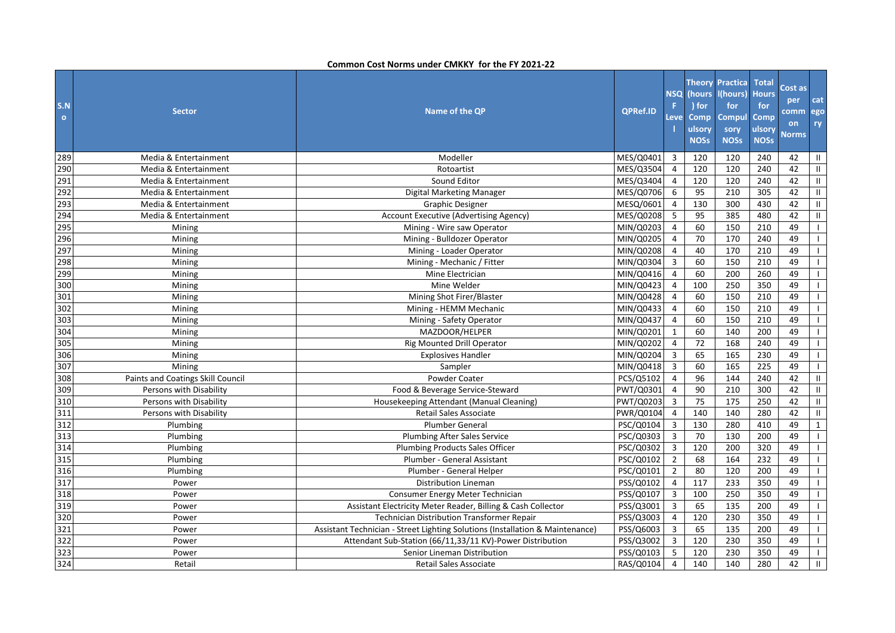| S.N<br>$\mathbf{o}$ | <b>Sector</b>                     | Name of the QP                                                                | QPRef.ID  | <b>NSQ</b><br>F<br>Level | (hours<br>) for<br><b>Comp</b><br>ulsory<br><b>NOSs</b> | <b>Theory Practica</b><br>l(hours)<br>for<br><b>Compul</b><br>sory<br><b>NOSs</b> | <b>Total</b><br><b>Hours</b><br>for<br>Comp<br>ulsory<br><b>NOSs</b> | Cost as<br>per<br>comm<br>on<br><b>Norms</b> | cat<br>ego<br>ry |
|---------------------|-----------------------------------|-------------------------------------------------------------------------------|-----------|--------------------------|---------------------------------------------------------|-----------------------------------------------------------------------------------|----------------------------------------------------------------------|----------------------------------------------|------------------|
| 289                 | Media & Entertainment             | Modeller                                                                      | MES/Q0401 | 3                        | 120                                                     | 120                                                                               | 240                                                                  | 42                                           | Ш                |
| 290                 | Media & Entertainment             | Rotoartist                                                                    | MES/Q3504 | $\overline{4}$           | 120                                                     | 120                                                                               | 240                                                                  | 42                                           | Ш.               |
| 291                 | Media & Entertainment             | Sound Editor                                                                  | MES/Q3404 | $\overline{4}$           | 120                                                     | 120                                                                               | 240                                                                  | 42                                           | Ш.               |
| 292                 | Media & Entertainment             | Digital Marketing Manager                                                     | MES/Q0706 | 6                        | 95                                                      | 210                                                                               | 305                                                                  | 42                                           | Ш.               |
| 293                 | Media & Entertainment             | <b>Graphic Designer</b>                                                       | MESQ/0601 | $\overline{4}$           | 130                                                     | 300                                                                               | 430                                                                  | 42                                           | Ш                |
| 294                 | Media & Entertainment             | Account Executive (Advertising Agency)                                        | MES/Q0208 | 5                        | 95                                                      | 385                                                                               | 480                                                                  | 42                                           | Ш                |
| 295                 | Mining                            | Mining - Wire saw Operator                                                    | MIN/Q0203 | $\overline{4}$           | 60                                                      | 150                                                                               | 210                                                                  | 49                                           | $\mathbf{I}$     |
| 296                 | Mining                            | Mining - Bulldozer Operator                                                   | MIN/Q0205 | $\overline{4}$           | 70                                                      | $\frac{170}{ }$                                                                   | 240                                                                  | 49                                           | $\mathbf{I}$     |
| 297                 | Mining                            | Mining - Loader Operator                                                      | MIN/Q0208 | $\overline{4}$           | 40                                                      | 170                                                                               | 210                                                                  | 49                                           |                  |
| 298                 | Mining                            | Mining - Mechanic / Fitter                                                    | MIN/Q0304 | $\overline{3}$           | 60                                                      | 150                                                                               | 210                                                                  | 49                                           | $\mathbf{I}$     |
| 299                 | Mining                            | Mine Electrician                                                              | MIN/Q0416 | $\overline{4}$           | 60                                                      | 200                                                                               | 260                                                                  | 49                                           |                  |
| 300                 | Mining                            | Mine Welder                                                                   | MIN/Q0423 | $\overline{4}$           | 100                                                     | 250                                                                               | 350                                                                  | 49                                           | $\mathbf{I}$     |
| 301                 | Mining                            | Mining Shot Firer/Blaster                                                     | MIN/Q0428 | $\overline{4}$           | 60                                                      | 150                                                                               | 210                                                                  | 49                                           | $\mathbf{L}$     |
| 302                 | Mining                            | Mining - HEMM Mechanic                                                        | MIN/Q0433 | $\overline{4}$           | 60                                                      | 150                                                                               | 210                                                                  | 49                                           | $\mathbf{I}$     |
| 303                 | Mining                            | Mining - Safety Operator                                                      | MIN/Q0437 | $\overline{4}$           | 60                                                      | 150                                                                               | 210                                                                  | 49                                           |                  |
| 304                 | Mining                            | MAZDOOR/HELPER                                                                | MIN/Q0201 | $\mathbf{1}$             | 60                                                      | 140                                                                               | 200                                                                  | 49                                           | $\mathbf{I}$     |
| 305                 | Mining                            | <b>Rig Mounted Drill Operator</b>                                             | MIN/Q0202 | $\overline{4}$           | 72                                                      | 168                                                                               | 240                                                                  | 49                                           | $\mathbf{L}$     |
| 306                 | Mining                            | <b>Explosives Handler</b>                                                     | MIN/Q0204 | $\overline{3}$           | 65                                                      | 165                                                                               | 230                                                                  | 49                                           | $\mathbf{L}$     |
| 307                 | Mining                            | Sampler                                                                       | MIN/Q0418 | 3                        | 60                                                      | 165                                                                               | 225                                                                  | 49                                           | $\mathbf{L}$     |
| 308                 | Paints and Coatings Skill Council | Powder Coater                                                                 | PCS/Q5102 | $\overline{4}$           | 96                                                      | 144                                                                               | 240                                                                  | 42                                           | Ш                |
| 309                 | Persons with Disability           | Food & Beverage Service-Steward                                               | PWT/Q0301 | $\overline{4}$           | 90                                                      | 210                                                                               | 300                                                                  | 42                                           | Ш.               |
| 310                 | Persons with Disability           | Housekeeping Attendant (Manual Cleaning)                                      | PWT/Q0203 | $\overline{3}$           | 75                                                      | 175                                                                               | 250                                                                  | 42                                           | Ш.               |
| 311                 | Persons with Disability           | <b>Retail Sales Associate</b>                                                 | PWR/Q0104 | $\overline{4}$           | 140                                                     | 140                                                                               | 280                                                                  | 42                                           | Ш                |
| 312                 | Plumbing                          | <b>Plumber General</b>                                                        | PSC/Q0104 | 3                        | 130                                                     | 280                                                                               | 410                                                                  | 49                                           | $\mathbf{1}$     |
| 313                 | Plumbing                          | <b>Plumbing After Sales Service</b>                                           | PSC/Q0303 | $\overline{3}$           | 70                                                      | 130                                                                               | 200                                                                  | 49                                           | $\mathbf{L}$     |
| 314                 | Plumbing                          | Plumbing Products Sales Officer                                               | PSC/Q0302 | $\overline{3}$           | 120                                                     | 200                                                                               | 320                                                                  | 49                                           | $\mathbf{L}$     |
| 315                 | Plumbing                          | Plumber - General Assistant                                                   | PSC/Q0102 | $\overline{2}$           | 68                                                      | 164                                                                               | 232                                                                  | 49                                           | $\mathbf{I}$     |
| 316                 | Plumbing                          | Plumber - General Helper                                                      | PSC/Q0101 | $\overline{2}$           | 80                                                      | 120                                                                               | 200                                                                  | 49                                           |                  |
| 317                 | Power                             | Distribution Lineman                                                          | PSS/Q0102 | $\overline{4}$           | 117                                                     | 233                                                                               | 350                                                                  | 49                                           |                  |
| 318                 | Power                             | Consumer Energy Meter Technician                                              | PSS/Q0107 | $\overline{3}$           | 100                                                     | 250                                                                               | 350                                                                  | 49                                           |                  |
| 319                 | Power                             | Assistant Electricity Meter Reader, Billing & Cash Collector                  | PSS/Q3001 | $\mathbf{3}$             | 65                                                      | $\frac{135}{ }$                                                                   | 200                                                                  | 49                                           | $\mathbf{I}$     |
| 320                 | Power                             | Technician Distribution Transformer Repair                                    | PSS/Q3003 | 4                        | 120                                                     | 230                                                                               | 350                                                                  | 49                                           |                  |
| 321                 | Power                             | Assistant Technician - Street Lighting Solutions (Installation & Maintenance) | PSS/Q6003 | $\mathbf{3}$             | 65                                                      | 135                                                                               | 200                                                                  | 49                                           |                  |
| 322                 | Power                             | Attendant Sub-Station (66/11,33/11 KV)-Power Distribution                     | PSS/Q3002 | $\mathbf{3}$             | 120                                                     | 230                                                                               | 350                                                                  | 49                                           |                  |
| 323                 | Power                             | Senior Lineman Distribution                                                   | PSS/Q0103 | 5                        | 120                                                     | 230                                                                               | 350                                                                  | 49                                           | $\mathbf{I}$     |
| 324                 | Retail                            | <b>Retail Sales Associate</b>                                                 | RAS/Q0104 | $\overline{4}$           | 140                                                     | 140                                                                               | 280                                                                  | 42                                           | $\mathbf{H}$     |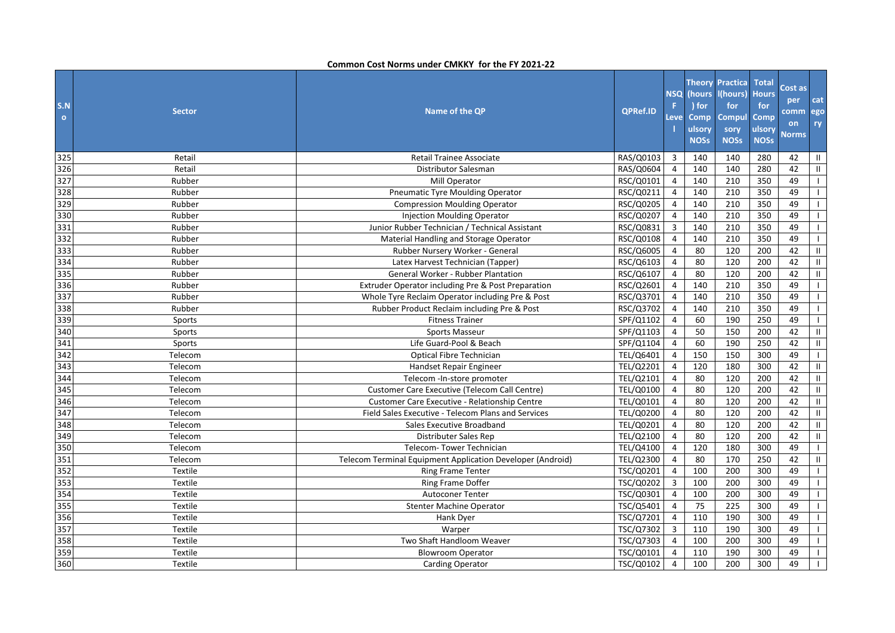| S.N<br>$\bullet$ | <b>Sector</b> | Name of the QP                                             | <b>QPRef.ID</b> | <b>NSQ</b><br>F.<br>Leve | (hours<br>) for<br><b>Comp</b><br>ulsory<br><b>NOSs</b> | <b>Theory Practica</b><br>l(hours)<br>for<br><b>Compul</b><br>sory<br><b>NOSs</b> | <b>Total</b><br><b>Hours</b><br>for<br>Comp<br>ulsory<br><b>NOSs</b> | Cost as<br>per<br>comm<br>on<br><b>Norms</b> | cat<br>ego<br>ry |
|------------------|---------------|------------------------------------------------------------|-----------------|--------------------------|---------------------------------------------------------|-----------------------------------------------------------------------------------|----------------------------------------------------------------------|----------------------------------------------|------------------|
| 325              | Retail        | <b>Retail Trainee Associate</b>                            | RAS/Q0103       | $\overline{3}$           | 140                                                     | 140                                                                               | 280                                                                  | 42                                           | Ш.               |
| 326              | Retail        | Distributor Salesman                                       | RAS/Q0604       | $\overline{4}$           | 140                                                     | 140                                                                               | 280                                                                  | 42                                           | Ш.               |
| 327              | Rubber        | Mill Operator                                              | RSC/Q0101       | $\overline{4}$           | 140                                                     | 210                                                                               | 350                                                                  | 49                                           | $\mathbf{L}$     |
| 328              | Rubber        | <b>Pneumatic Tyre Moulding Operator</b>                    | RSC/Q0211       | $\overline{4}$           | 140                                                     | 210                                                                               | 350                                                                  | 49                                           | $\mathbf{I}$     |
| 329              | Rubber        | <b>Compression Moulding Operator</b>                       | RSC/Q0205       | 4                        | 140                                                     | 210                                                                               | 350                                                                  | 49                                           |                  |
| 330              | Rubber        | <b>Injection Moulding Operator</b>                         | RSC/Q0207       | $\overline{4}$           | 140                                                     | 210                                                                               | 350                                                                  | 49                                           | $\mathbf{I}$     |
| 331              | Rubber        | Junior Rubber Technician / Technical Assistant             | RSC/Q0831       | $\overline{3}$           | 140                                                     | 210                                                                               | 350                                                                  | 49                                           | $\mathbf{L}$     |
| 332              | Rubber        | Material Handling and Storage Operator                     | RSC/Q0108       | $\overline{4}$           | 140                                                     | 210                                                                               | 350                                                                  | 49                                           | $\mathbf{I}$     |
| 333              | Rubber        | Rubber Nursery Worker - General                            | RSC/Q6005       | $\overline{4}$           | 80                                                      | 120                                                                               | 200                                                                  | 42                                           | Ш.               |
| 334              | Rubber        | Latex Harvest Technician (Tapper)                          | RSC/Q6103       | $\overline{4}$           | 80                                                      | 120                                                                               | 200                                                                  | 42                                           | Ш.               |
| 335              | Rubber        | <b>General Worker - Rubber Plantation</b>                  | RSC/Q6107       | $\overline{4}$           | 80                                                      | 120                                                                               | 200                                                                  | 42                                           | $\mathbf{II}$    |
| 336              | Rubber        | Extruder Operator including Pre & Post Preparation         | RSC/Q2601       | $\overline{4}$           | 140                                                     | 210                                                                               | 350                                                                  | 49                                           | $\mathbf{I}$     |
| 337              | Rubber        | Whole Tyre Reclaim Operator including Pre & Post           | RSC/Q3701       | 4                        | 140                                                     | 210                                                                               | 350                                                                  | 49                                           | $\mathbf{L}$     |
| 338              | Rubber        | Rubber Product Reclaim including Pre & Post                | RSC/Q3702       | $\overline{4}$           | 140                                                     | 210                                                                               | 350                                                                  | 49                                           | $\mathbf{L}$     |
| 339              | Sports        | <b>Fitness Trainer</b>                                     | SPF/Q1102       | $\overline{4}$           | 60                                                      | 190                                                                               | 250                                                                  | 49                                           | $\mathbf{L}$     |
| 340              | Sports        | Sports Masseur                                             | SPF/Q1103       | 4                        | 50                                                      | 150                                                                               | 200                                                                  | 42                                           | Ш.               |
| 341              | Sports        | Life Guard-Pool & Beach                                    | SPF/Q1104       | 4                        | 60                                                      | 190                                                                               | 250                                                                  | 42                                           | Ш                |
| 342              | Telecom       | Optical Fibre Technician                                   | TEL/Q6401       | $\overline{4}$           | 150                                                     | 150                                                                               | 300                                                                  | 49                                           | $\mathbf{L}$     |
| 343              | Telecom       | Handset Repair Engineer                                    | TEL/Q2201       | $\overline{4}$           | 120                                                     | 180                                                                               | 300                                                                  | 42                                           | Ш                |
| 344              | Telecom       | Telecom - In-store promoter                                | TEL/Q2101       | $\overline{4}$           | 80                                                      | 120                                                                               | 200                                                                  | 42                                           | Ш                |
| 345              | Telecom       | Customer Care Executive (Telecom Call Centre)              | TEL/Q0100       | $\overline{4}$           | 80                                                      | 120                                                                               | 200                                                                  | 42                                           | Ш.               |
| 346              | Telecom       | <b>Customer Care Executive - Relationship Centre</b>       | TEL/Q0101       | $\overline{4}$           | 80                                                      | 120                                                                               | 200                                                                  | 42                                           | Ш.               |
| 347              | Telecom       | Field Sales Executive - Telecom Plans and Services         | TEL/Q0200       | $\overline{4}$           | 80                                                      | 120                                                                               | 200                                                                  | 42                                           | Ш                |
| 348              | Telecom       | Sales Executive Broadband                                  | TEL/Q0201       | $\overline{4}$           | 80                                                      | 120                                                                               | 200                                                                  | 42                                           | Ш                |
| 349              | Telecom       | Distributer Sales Rep                                      | TEL/Q2100       | $\overline{4}$           | 80                                                      | 120                                                                               | 200                                                                  | 42                                           | Ш.               |
| 350              | Telecom       | Telecom-Tower Technician                                   | TEL/Q4100       | 4                        | 120                                                     | 180                                                                               | 300                                                                  | 49                                           | $\mathbf{L}$     |
| 351              | Telecom       | Telecom Terminal Equipment Application Developer (Android) | TEL/Q2300       | $\overline{4}$           | 80                                                      | 170                                                                               | 250                                                                  | 42                                           | Ш                |
| 352              | Textile       | <b>Ring Frame Tenter</b>                                   | TSC/Q0201       | $\overline{4}$           | 100                                                     | 200                                                                               | 300                                                                  | 49                                           | $\mathbf{L}$     |
| 353              | Textile       | Ring Frame Doffer                                          | TSC/Q0202       | $\overline{3}$           | 100                                                     | 200                                                                               | 300                                                                  | 49                                           | $\mathbf{I}$     |
| 354              | Textile       | <b>Autoconer Tenter</b>                                    | TSC/Q0301       | $\overline{4}$           | 100                                                     | 200                                                                               | 300                                                                  | 49                                           |                  |
| 355              | Textile       | <b>Stenter Machine Operator</b>                            | TSC/Q5401       | $\overline{4}$           | 75                                                      | 225                                                                               | 300                                                                  | 49                                           | $\mathbf{I}$     |
| 356              | Textile       | Hank Dyer                                                  | TSC/Q7201       | $\overline{4}$           | 110                                                     | 190                                                                               | 300                                                                  | 49                                           | $\mathbf{I}$     |
| 357              | Textile       | Warper                                                     | TSC/Q7302       | $\mathbf{3}$             | 110                                                     | 190                                                                               | 300                                                                  | 49                                           | $\mathbf{I}$     |
| 358              | Textile       | Two Shaft Handloom Weaver                                  | TSC/Q7303       | 4                        | 100                                                     | 200                                                                               | 300                                                                  | 49                                           |                  |
| 359              | Textile       | <b>Blowroom Operator</b>                                   | TSC/Q0101       | $\overline{4}$           | 110                                                     | 190                                                                               | 300                                                                  | 49                                           | $\mathbf{I}$     |
| 360              | Textile       | <b>Carding Operator</b>                                    | TSC/Q0102       | $\overline{4}$           | 100                                                     | 200                                                                               | 300                                                                  | 49                                           |                  |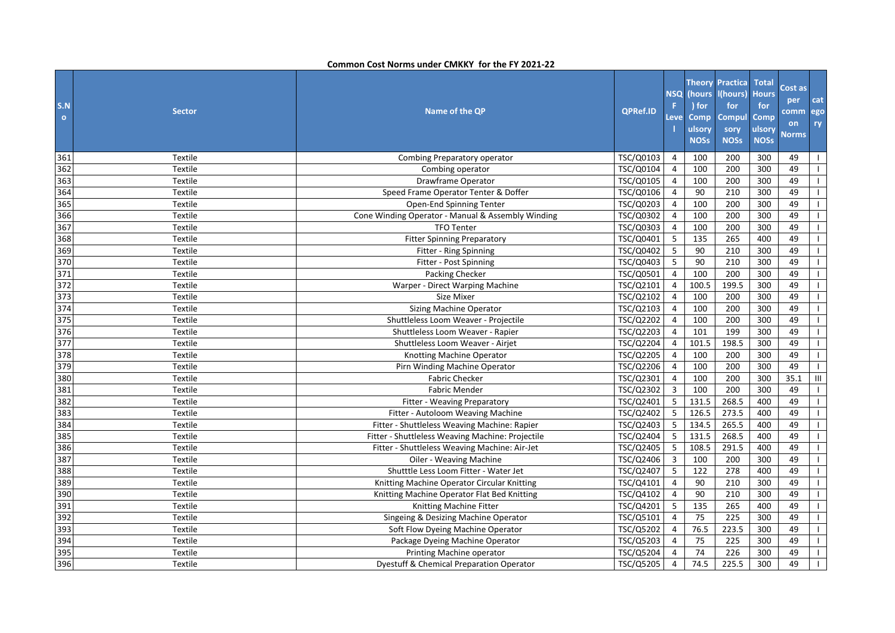| S.N<br>$\circ$ | <b>Sector</b> | Name of the QP                                    | <b>QPRef.ID</b> | <b>NSQ</b><br>F<br>Level | (hours<br>) for<br><b>Comp</b><br>ulsory<br><b>NOSs</b> | <b>Theory Practica</b><br>l(hours)<br>for<br>Compul<br>sory<br><b>NOSs</b> | <b>Total</b><br><b>Hours</b><br>for<br>Comp<br>ulsory<br><b>NOSs</b> | Cost as<br>per<br><b>comm</b><br>on<br><b>Norms</b> | cat<br>ego<br>ry |
|----------------|---------------|---------------------------------------------------|-----------------|--------------------------|---------------------------------------------------------|----------------------------------------------------------------------------|----------------------------------------------------------------------|-----------------------------------------------------|------------------|
| 361            | Textile       | Combing Preparatory operator                      | TSC/Q0103       | 4                        | 100                                                     | 200                                                                        | 300                                                                  | 49                                                  | $\mathbf{1}$     |
| 362            | Textile       | Combing operator                                  | TSC/Q0104       | $\overline{4}$           | 100                                                     | 200                                                                        | 300                                                                  | 49                                                  | $\mathbf{I}$     |
| 363            | Textile       | Drawframe Operator                                | TSC/Q0105       | $\overline{4}$           | 100                                                     | 200                                                                        | 300                                                                  | 49                                                  | $\mathbf{L}$     |
| 364            | Textile       | Speed Frame Operator Tenter & Doffer              | TSC/Q0106       | 4                        | 90                                                      | 210                                                                        | 300                                                                  | 49                                                  | $\mathbf{L}$     |
| 365            | Textile       | Open-End Spinning Tenter                          | TSC/Q0203       | 4                        | 100                                                     | 200                                                                        | 300                                                                  | 49                                                  | $\mathbf{L}$     |
| 366            | Textile       | Cone Winding Operator - Manual & Assembly Winding | TSC/Q0302       | $\overline{4}$           | 100                                                     | 200                                                                        | 300                                                                  | 49                                                  | $\mathbf{1}$     |
| 367            | Textile       | <b>TFO Tenter</b>                                 | TSC/Q0303       | $\overline{4}$           | 100                                                     | 200                                                                        | 300                                                                  | 49                                                  | $\mathbf{L}$     |
| 368            | Textile       | <b>Fitter Spinning Preparatory</b>                | TSC/Q0401       | 5                        | 135                                                     | 265                                                                        | 400                                                                  | 49                                                  | $\mathbf{1}$     |
| 369            | Textile       | Fitter - Ring Spinning                            | TSC/Q0402       | 5                        | 90                                                      | 210                                                                        | 300                                                                  | 49                                                  | $\mathbf{L}$     |
| 370            | Textile       | Fitter - Post Spinning                            | TSC/Q0403       | 5                        | 90                                                      | 210                                                                        | 300                                                                  | 49                                                  | $\mathbf{L}$     |
| 371            | Textile       | Packing Checker                                   | TSC/Q0501       | 4                        | 100                                                     | 200                                                                        | 300                                                                  | 49                                                  | $\mathbf{I}$     |
| 372            | Textile       | Warper - Direct Warping Machine                   | TSC/Q2101       | $\overline{4}$           | 100.5                                                   | 199.5                                                                      | 300                                                                  | 49                                                  | $\mathbf{L}$     |
| 373            | Textile       | Size Mixer                                        | TSC/Q2102       | $\overline{4}$           | 100                                                     | 200                                                                        | 300                                                                  | 49                                                  | $\mathbf{L}$     |
| 374            | Textile       | Sizing Machine Operator                           | TSC/Q2103       | 4                        | 100                                                     | 200                                                                        | 300                                                                  | 49                                                  | $\mathbf{L}$     |
| 375            | Textile       | Shuttleless Loom Weaver - Projectile              | TSC/Q2202       | 4                        | 100                                                     | 200                                                                        | 300                                                                  | 49                                                  | $\mathbf{L}$     |
| 376            | Textile       | Shuttleless Loom Weaver - Rapier                  | TSC/Q2203       | $\overline{4}$           | 101                                                     | 199                                                                        | 300                                                                  | 49                                                  | $\mathbf{1}$     |
| 377            | Textile       | Shuttleless Loom Weaver - Airjet                  | TSC/Q2204       | $\overline{4}$           | 101.5                                                   | 198.5                                                                      | 300                                                                  | 49                                                  | $\mathbf{L}$     |
| 378            | Textile       | Knotting Machine Operator                         | TSC/Q2205       | $\overline{4}$           | 100                                                     | 200                                                                        | 300                                                                  | 49                                                  | $\mathbf{L}$     |
| 379            | Textile       | Pirn Winding Machine Operator                     | TSC/Q2206       | $\overline{4}$           | 100                                                     | 200                                                                        | 300                                                                  | 49                                                  | $\mathbf{L}$     |
| 380            | Textile       | <b>Fabric Checker</b>                             | TSC/Q2301       | $\overline{4}$           | 100                                                     | 200                                                                        | 300                                                                  | 35.1                                                | Ш                |
| 381            | Textile       | <b>Fabric Mender</b>                              | TSC/Q2302       | 3                        | 100                                                     | 200                                                                        | 300                                                                  | 49                                                  | $\mathbf{L}$     |
| 382            | Textile       | Fitter - Weaving Preparatory                      | TSC/Q2401       | 5                        | 131.5                                                   | 268.5                                                                      | 400                                                                  | 49                                                  | $\mathbf{L}$     |
| 383            | Textile       | Fitter - Autoloom Weaving Machine                 | TSC/Q2402       | 5                        | 126.5                                                   | 273.5                                                                      | 400                                                                  | 49                                                  | $\mathbf{L}$     |
| 384            | Textile       | Fitter - Shuttleless Weaving Machine: Rapier      | TSC/Q2403       | 5                        | 134.5                                                   | 265.5                                                                      | 400                                                                  | 49                                                  | $\mathbf{L}$     |
| 385            | Textile       | Fitter - Shuttleless Weaving Machine: Projectile  | TSC/Q2404       | 5                        | 131.5                                                   | 268.5                                                                      | 400                                                                  | 49                                                  | $\mathbf{L}$     |
| 386            | Textile       | Fitter - Shuttleless Weaving Machine: Air-Jet     | TSC/Q2405       | 5                        | 108.5                                                   | 291.5                                                                      | 400                                                                  | 49                                                  | $\mathbf{I}$     |
| 387            | Textile       | Oiler - Weaving Machine                           | TSC/Q2406       | 3                        | 100                                                     | 200                                                                        | 300                                                                  | 49                                                  | $\mathbf{I}$     |
| 388            | Textile       | Shutttle Less Loom Fitter - Water Jet             | TSC/Q2407       | 5                        | 122                                                     | 278                                                                        | 400                                                                  | 49                                                  | $\mathbf{L}$     |
| 389            | Textile       | Knitting Machine Operator Circular Knitting       | TSC/Q4101       | $\overline{4}$           | 90                                                      | 210                                                                        | 300                                                                  | 49                                                  | $\mathbf{1}$     |
| 390            | Textile       | Knitting Machine Operator Flat Bed Knitting       | TSC/Q4102       | 4                        | 90                                                      | 210                                                                        | 300                                                                  | 49                                                  | $\mathbf{L}$     |
| 391            | Textile       | Knitting Machine Fitter                           | TSC/Q4201       | 5                        | 135                                                     | 265                                                                        | 400                                                                  | 49                                                  | $\mathbf{1}$     |
| 392            | Textile       | Singeing & Desizing Machine Operator              | TSC/Q5101       | 4                        | 75                                                      | 225                                                                        | 300                                                                  | 49                                                  | $\mathbf{L}$     |
| 393            | Textile       | Soft Flow Dyeing Machine Operator                 | TSC/Q5202       | $\overline{4}$           | 76.5                                                    | 223.5                                                                      | 300                                                                  | 49                                                  | $\mathbf{1}$     |
| 394            | Textile       | Package Dyeing Machine Operator                   | TSC/Q5203       | 4                        | 75                                                      | 225                                                                        | 300                                                                  | 49                                                  | $\mathbf{L}$     |
| 395            | Textile       | Printing Machine operator                         | TSC/Q5204       | $\overline{4}$           | 74                                                      | 226                                                                        | 300                                                                  | 49                                                  | $\mathbf{L}$     |
| 396            | Textile       | Dyestuff & Chemical Preparation Operator          | TSC/Q5205       | $\overline{4}$           | 74.5                                                    | 225.5                                                                      | 300                                                                  | 49                                                  | $\mathbf{I}$     |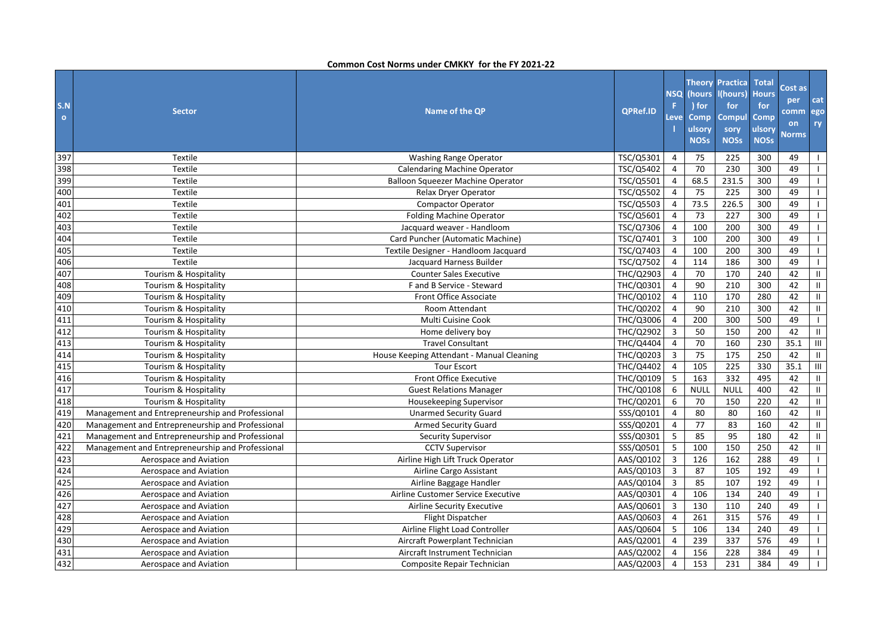| S.N<br>$\mathbf{o}$ | <b>Sector</b>                                    | Name of the QP                            | <b>QPRef.ID</b> | <b>NSQ</b><br>F.<br>Leve | (hours<br>) for<br><b>Comp</b><br>ulsory<br><b>NOSs</b> | <b>Theory Practica</b><br>I(hours)<br>for<br><b>Compul</b><br>sory<br><b>NOSs</b> | <b>Total</b><br><b>Hours</b><br>for<br>Comp<br>ulsory<br><b>NOSs</b> | Cost as<br>per<br>comm<br>on<br><b>Norms</b> | cat<br>ego<br>ry |
|---------------------|--------------------------------------------------|-------------------------------------------|-----------------|--------------------------|---------------------------------------------------------|-----------------------------------------------------------------------------------|----------------------------------------------------------------------|----------------------------------------------|------------------|
| 397                 | Textile                                          | Washing Range Operator                    | TSC/Q5301       | $\overline{4}$           | 75                                                      | 225                                                                               | 300                                                                  | 49                                           |                  |
| 398                 | <b>Textile</b>                                   | <b>Calendaring Machine Operator</b>       | TSC/Q5402       | $\overline{4}$           | 70                                                      | 230                                                                               | 300                                                                  | 49                                           | $\mathbf{I}$     |
| 399                 | Textile                                          | Balloon Squeezer Machine Operator         | TSC/Q5501       | $\overline{4}$           | 68.5                                                    | 231.5                                                                             | 300                                                                  | 49                                           |                  |
| 400                 | Textile                                          | Relax Dryer Operator                      | TSC/Q5502       | $\overline{4}$           | 75                                                      | 225                                                                               | 300                                                                  | 49                                           | $\mathbf{I}$     |
| 401                 | Textile                                          | <b>Compactor Operator</b>                 | TSC/Q5503       | $\overline{4}$           | 73.5                                                    | 226.5                                                                             | 300                                                                  | 49                                           |                  |
| 402                 | <b>Textile</b>                                   | <b>Folding Machine Operator</b>           | TSC/Q5601       | $\overline{4}$           | 73                                                      | 227                                                                               | 300                                                                  | 49                                           | $\mathbf{L}$     |
| 403                 | Textile                                          | Jacquard weaver - Handloom                | TSC/Q7306       | $\overline{4}$           | 100                                                     | 200                                                                               | 300                                                                  | 49                                           | $\mathbf{L}$     |
| 404                 | Textile                                          | Card Puncher (Automatic Machine)          | TSC/Q7401       | $\mathbf{3}$             | 100                                                     | 200                                                                               | 300                                                                  | 49                                           | $\mathbf{I}$     |
| 405                 | Textile                                          | Textile Designer - Handloom Jacquard      | TSC/Q7403       | $\overline{4}$           | 100                                                     | 200                                                                               | 300                                                                  | 49                                           | $\mathbf{I}$     |
| 406                 | Textile                                          | Jacquard Harness Builder                  | TSC/Q7502       | $\overline{4}$           | 114                                                     | 186                                                                               | 300                                                                  | 49                                           | $\mathbf{L}$     |
| 407                 | Tourism & Hospitality                            | <b>Counter Sales Executive</b>            | THC/Q2903       | $\overline{4}$           | 70                                                      | 170                                                                               | 240                                                                  | 42                                           | Ш.               |
| 408                 | Tourism & Hospitality                            | F and B Service - Steward                 | THC/Q0301       | $\overline{4}$           | 90                                                      | 210                                                                               | 300                                                                  | 42                                           | $\mathbf{H}$     |
| 409                 | Tourism & Hospitality                            | <b>Front Office Associate</b>             | THC/Q0102       | $\overline{4}$           | 110                                                     | 170                                                                               | 280                                                                  | 42                                           | $\mathbf{H}$     |
| 410                 | Tourism & Hospitality                            | Room Attendant                            | THC/Q0202       | $\overline{4}$           | 90                                                      | 210                                                                               | 300                                                                  | 42                                           | Ш                |
| 411                 | Tourism & Hospitality                            | Multi Cuisine Cook                        | THC/Q3006       | $\overline{4}$           | 200                                                     | 300                                                                               | 500                                                                  | 49                                           | $\mathbf{I}$     |
| 412                 | Tourism & Hospitality                            | Home delivery boy                         | THC/Q2902       | 3                        | 50                                                      | 150                                                                               | 200                                                                  | 42                                           | Ш                |
| 413                 | Tourism & Hospitality                            | <b>Travel Consultant</b>                  | THC/Q4404       | $\overline{4}$           | 70                                                      | 160                                                                               | 230                                                                  | 35.1                                         | III              |
| 414                 | Tourism & Hospitality                            | House Keeping Attendant - Manual Cleaning | THC/Q0203       | 3                        | 75                                                      | 175                                                                               | 250                                                                  | 42                                           | Ш                |
| 415                 | Tourism & Hospitality                            | <b>Tour Escort</b>                        | THC/Q4402       | $\overline{4}$           | 105                                                     | 225                                                                               | 330                                                                  | 35.1                                         | $\mathbf{III}$   |
| 416                 | Tourism & Hospitality                            | <b>Front Office Executive</b>             | THC/Q0109       | 5                        | 163                                                     | 332                                                                               | 495                                                                  | 42                                           | Ш                |
| 417                 | Tourism & Hospitality                            | <b>Guest Relations Manager</b>            | THC/Q0108       | 6                        | <b>NULL</b>                                             | <b>NULL</b>                                                                       | 400                                                                  | 42                                           | Ш                |
| 418                 | Tourism & Hospitality                            | Housekeeping Supervisor                   | THC/Q0201       | 6                        | 70                                                      | 150                                                                               | 220                                                                  | 42                                           | Ш.               |
| 419                 | Management and Entrepreneurship and Professional | <b>Unarmed Security Guard</b>             | SSS/Q0101       | $\overline{4}$           | 80                                                      | 80                                                                                | 160                                                                  | 42                                           | $\mathbf{H}$     |
| 420                 | Management and Entrepreneurship and Professional | <b>Armed Security Guard</b>               | SSS/Q0201       | $\overline{4}$           | 77                                                      | 83                                                                                | 160                                                                  | 42                                           | Ш                |
| 421                 | Management and Entrepreneurship and Professional | <b>Security Supervisor</b>                | SSS/Q0301       | 5                        | 85                                                      | 95                                                                                | 180                                                                  | 42                                           | Ш                |
| 422                 | Management and Entrepreneurship and Professional | <b>CCTV Supervisor</b>                    | SSS/Q0501       | 5                        | 100                                                     | 150                                                                               | 250                                                                  | 42                                           | Ш.               |
| 423                 | Aerospace and Aviation                           | Airline High Lift Truck Operator          | AAS/Q0102       | 3                        | 126                                                     | 162                                                                               | 288                                                                  | 49                                           | $\mathbf{I}$     |
| 424                 | Aerospace and Aviation                           | Airline Cargo Assistant                   | AAS/Q0103       | 3                        | 87                                                      | 105                                                                               | 192                                                                  | 49                                           |                  |
| 425                 | Aerospace and Aviation                           | Airline Baggage Handler                   | AAS/Q0104       | $\mathbf{3}$             | 85                                                      | 107                                                                               | 192                                                                  | 49                                           | $\mathbf{I}$     |
| 426                 | Aerospace and Aviation                           | Airline Customer Service Executive        | AAS/Q0301       | $\overline{4}$           | 106                                                     | 134                                                                               | 240                                                                  | 49                                           |                  |
| 427                 | Aerospace and Aviation                           | <b>Airline Security Executive</b>         | AAS/Q0601       | 3                        | 130                                                     | 110                                                                               | 240                                                                  | 49                                           | $\mathbf{I}$     |
| 428                 | Aerospace and Aviation                           | Flight Dispatcher                         | AAS/Q0603       | $\overline{4}$           | 261                                                     | 315                                                                               | 576                                                                  | 49                                           |                  |
| 429                 | Aerospace and Aviation                           | Airline Flight Load Controller            | AAS/Q0604       | 5                        | 106                                                     | 134                                                                               | 240                                                                  | 49                                           | $\mathbf{I}$     |
| 430                 | Aerospace and Aviation                           | Aircraft Powerplant Technician            | AAS/Q2001       | 4                        | 239                                                     | 337                                                                               | 576                                                                  | 49                                           |                  |
| 431                 | Aerospace and Aviation                           | Aircraft Instrument Technician            | AAS/Q2002       | 4                        | 156                                                     | 228                                                                               | 384                                                                  | 49                                           | $\mathbf{I}$     |
| 432                 | Aerospace and Aviation                           | Composite Repair Technician               | AAS/Q2003       | $\overline{4}$           | 153                                                     | 231                                                                               | 384                                                                  | 49                                           |                  |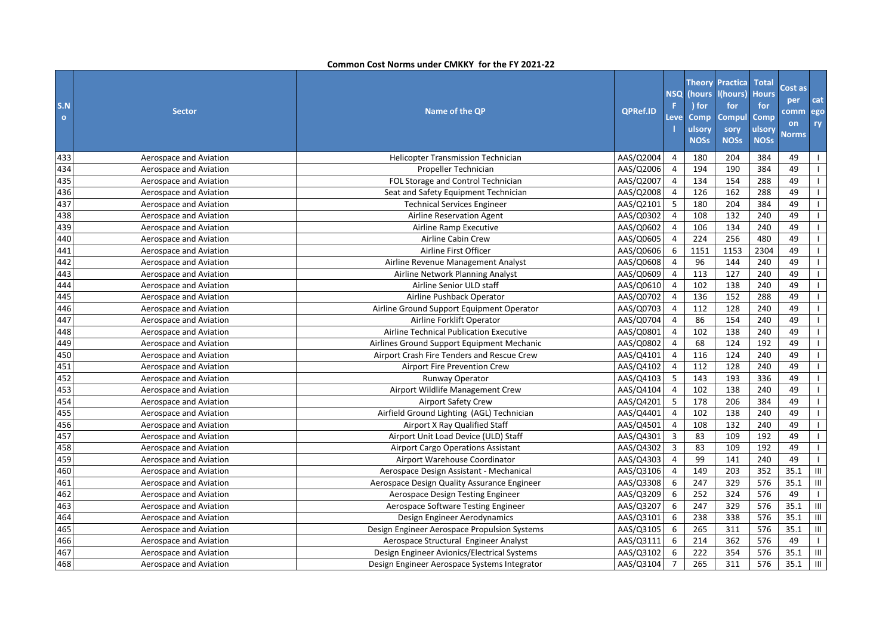| S.N<br>$\bullet$ | <b>Sector</b>          | Name of the QP                               | QPRef.ID  | <b>NSQ</b><br>F.<br>Level | (hours<br>) for<br>Comp<br>ulsory<br><b>NOSs</b> | <b>Theory Practica</b><br>l(hours)<br>for<br><b>Compul</b><br>sory<br><b>NOSs</b> | <b>Total</b><br><b>Hours</b><br>for<br>Comp<br>ulsory<br><b>NOSs</b> | Cost as<br>per<br>comm<br>on<br><b>Norms</b> | cat<br>ego<br>ry                   |
|------------------|------------------------|----------------------------------------------|-----------|---------------------------|--------------------------------------------------|-----------------------------------------------------------------------------------|----------------------------------------------------------------------|----------------------------------------------|------------------------------------|
| 433              | Aerospace and Aviation | Helicopter Transmission Technician           | AAS/Q2004 | 4                         | 180                                              | 204                                                                               | 384                                                                  | 49                                           | $\mathbf{I}$                       |
| 434              | Aerospace and Aviation | Propeller Technician                         | AAS/Q2006 | $\overline{4}$            | 194                                              | 190                                                                               | 384                                                                  | 49                                           |                                    |
| 435              | Aerospace and Aviation | FOL Storage and Control Technician           | AAS/Q2007 | $\overline{4}$            | 134                                              | 154                                                                               | 288                                                                  | 49                                           | $\mathbf{L}$                       |
| 436              | Aerospace and Aviation | Seat and Safety Equipment Technician         | AAS/Q2008 | $\overline{4}$            | 126                                              | 162                                                                               | 288                                                                  | 49                                           | $\mathbf{L}$                       |
| 437              | Aerospace and Aviation | <b>Technical Services Engineer</b>           | AAS/Q2101 | 5                         | 180                                              | 204                                                                               | 384                                                                  | 49                                           | $\mathbf{I}$                       |
| 438              | Aerospace and Aviation | Airline Reservation Agent                    | AAS/Q0302 | $\overline{4}$            | 108                                              | 132                                                                               | 240                                                                  | 49                                           | $\mathbf{L}$                       |
| 439              | Aerospace and Aviation | Airline Ramp Executive                       | AAS/Q0602 | $\overline{4}$            | 106                                              | 134                                                                               | 240                                                                  | 49                                           | $\mathbf{L}$                       |
| 440              | Aerospace and Aviation | Airline Cabin Crew                           | AAS/Q0605 | 4                         | 224                                              | 256                                                                               | 480                                                                  | 49                                           | $\mathbf{I}$                       |
| 441              | Aerospace and Aviation | Airline First Officer                        | AAS/Q0606 | 6                         | 1151                                             | 1153                                                                              | 2304                                                                 | 49                                           | $\mathbf{I}$                       |
| 442              | Aerospace and Aviation | Airline Revenue Management Analyst           | AAS/Q0608 | $\overline{4}$            | 96                                               | 144                                                                               | 240                                                                  | 49                                           | $\mathbf{L}$                       |
| 443              | Aerospace and Aviation | Airline Network Planning Analyst             | AAS/Q0609 | $\overline{4}$            | 113                                              | 127                                                                               | 240                                                                  | 49                                           | $\mathbf{I}$                       |
| 444              | Aerospace and Aviation | Airline Senior ULD staff                     | AAS/Q0610 | $\overline{4}$            | 102                                              | 138                                                                               | 240                                                                  | 49                                           | $\mathbf{I}$                       |
| 445              | Aerospace and Aviation | Airline Pushback Operator                    | AAS/Q0702 | 4                         | 136                                              | 152                                                                               | 288                                                                  | 49                                           | $\mathbf{I}$                       |
| 446              | Aerospace and Aviation | Airline Ground Support Equipment Operator    | AAS/Q0703 | $\overline{4}$            | 112                                              | 128                                                                               | 240                                                                  | 49                                           | $\mathbf{I}$                       |
| 447              | Aerospace and Aviation | Airline Forklift Operator                    | AAS/Q0704 | $\overline{4}$            | 86                                               | 154                                                                               | 240                                                                  | 49                                           | $\mathsf{I}$                       |
| 448              | Aerospace and Aviation | Airline Technical Publication Executive      | AAS/Q0801 | $\overline{4}$            | 102                                              | 138                                                                               | 240                                                                  | 49                                           | $\mathbf{I}$                       |
| 449              | Aerospace and Aviation | Airlines Ground Support Equipment Mechanic   | AAS/Q0802 | $\overline{4}$            | 68                                               | 124                                                                               | 192                                                                  | 49                                           | $\mathbf{I}$                       |
| 450              | Aerospace and Aviation | Airport Crash Fire Tenders and Rescue Crew   | AAS/Q4101 | $\overline{4}$            | 116                                              | 124                                                                               | 240                                                                  | 49                                           | $\mathbf{I}$                       |
| 451              | Aerospace and Aviation | Airport Fire Prevention Crew                 | AAS/Q4102 | $\overline{4}$            | 112                                              | 128                                                                               | 240                                                                  | 49                                           |                                    |
| 452              | Aerospace and Aviation | Runway Operator                              | AAS/Q4103 | 5                         | 143                                              | 193                                                                               | 336                                                                  | 49                                           |                                    |
| 453              | Aerospace and Aviation | Airport Wildlife Management Crew             | AAS/Q4104 | $\overline{4}$            | 102                                              | 138                                                                               | 240                                                                  | 49                                           |                                    |
| 454              | Aerospace and Aviation | Airport Safety Crew                          | AAS/Q4201 | 5                         | 178                                              | 206                                                                               | 384                                                                  | 49                                           | $\mathbf{I}$                       |
| 455              | Aerospace and Aviation | Airfield Ground Lighting (AGL) Technician    | AAS/Q4401 | $\overline{4}$            | 102                                              | 138                                                                               | 240                                                                  | 49                                           |                                    |
| 456              | Aerospace and Aviation | Airport X Ray Qualified Staff                | AAS/Q4501 | $\overline{4}$            | 108                                              | 132                                                                               | 240                                                                  | 49                                           |                                    |
| 457              | Aerospace and Aviation | Airport Unit Load Device (ULD) Staff         | AAS/Q4301 | 3                         | 83                                               | 109                                                                               | 192                                                                  | 49                                           |                                    |
| 458              | Aerospace and Aviation | Airport Cargo Operations Assistant           | AAS/Q4302 | $\mathbf{3}$              | 83                                               | 109                                                                               | 192                                                                  | 49                                           | $\mathbf{I}$                       |
| 459              | Aerospace and Aviation | Airport Warehouse Coordinator                | AAS/Q4303 | $\overline{4}$            | 99                                               | 141                                                                               | 240                                                                  | 49                                           |                                    |
| 460              | Aerospace and Aviation | Aerospace Design Assistant - Mechanical      | AAS/Q3106 | $\overline{4}$            | 149                                              | 203                                                                               | 352                                                                  | 35.1                                         | $\mathbf{III}$                     |
| 461              | Aerospace and Aviation | Aerospace Design Quality Assurance Engineer  | AAS/Q3308 | 6                         | 247                                              | 329                                                                               | 576                                                                  | 35.1                                         | $\ensuremath{\mathsf{III}}\xspace$ |
| 462              | Aerospace and Aviation | Aerospace Design Testing Engineer            | AAS/Q3209 | 6                         | 252                                              | 324                                                                               | 576                                                                  | 49                                           | $\mathbf{L}$                       |
| 463              | Aerospace and Aviation | Aerospace Software Testing Engineer          | AAS/Q3207 | 6                         | 247                                              | 329                                                                               | 576                                                                  | 35.1                                         | $\mathbf{III}$                     |
| 464              | Aerospace and Aviation | Design Engineer Aerodynamics                 | AAS/Q3101 | 6                         | 238                                              | 338                                                                               | 576                                                                  | 35.1                                         | Ш                                  |
| 465              | Aerospace and Aviation | Design Engineer Aerospace Propulsion Systems | AAS/Q3105 | 6                         | 265                                              | 311                                                                               | 576                                                                  | 35.1                                         | III                                |
| 466              | Aerospace and Aviation | Aerospace Structural Engineer Analyst        | AAS/Q3111 | 6                         | 214                                              | 362                                                                               | 576                                                                  | 49                                           | $\mathbf{L}$                       |
| 467              | Aerospace and Aviation | Design Engineer Avionics/Electrical Systems  | AAS/Q3102 | 6                         | 222                                              | 354                                                                               | 576                                                                  | 35.1                                         | $\mathbf{III}$                     |
| 468              | Aerospace and Aviation | Design Engineer Aerospace Systems Integrator | AAS/Q3104 | $\overline{7}$            | 265                                              | 311                                                                               | 576                                                                  | 35.1                                         | III                                |